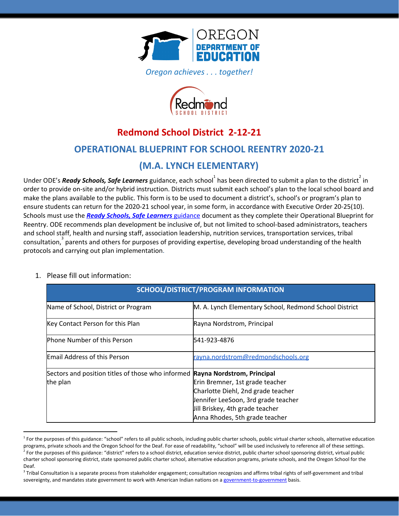

*Oregon achieves . . . together!*



# **Redmond School District 2-12-21**

### **OPERATIONAL BLUEPRINT FOR SCHOOL REENTRY 2020-21**

### **(M.A. LYNCH ELEMENTARY)**

Under ODE's *Ready Schools, Safe Learners* guidance, each school<sup>1</sup> has been directed to submit a plan to the district<sup>2</sup> in order to provide on-site and/or hybrid instruction. Districts must submit each school's plan to the local school board and make the plans available to the public. This form is to be used to document a district's, school's or program's plan to ensure students can return for the 2020-21 school year, in some form, in accordance with Executive Order 20-25(10). Schools must use the *Ready Schools, Safe [Learners](https://www.oregon.gov/ode/students-and-family/healthsafety/Documents/Ready%20Schools%20Safe%20Learners%202020-21%20Guidance.pdf)* [guidance](https://www.oregon.gov/ode/students-and-family/healthsafety/Documents/Ready%20Schools%20Safe%20Learners%202020-21%20Guidance.pdf) document as they complete their Operational Blueprint for Reentry. ODE recommends plan development be inclusive of, but not limited to school-based administrators, teachers and school staff, health and nursing staff, association leadership, nutrition services, transportation services, tribal  $\cos$  consultation,  $\sin^3$  parents and others for purposes of providing expertise, developing broad understanding of the health protocols and carrying out plan implementation.

### **SCHOOL/DISTRICT/PROGRAM INFORMATION** Name of School, District or Program M. A. Lynch Elementary School, Redmond School District Key Contact Person for this Plan Rayna Nordstrom, Principal Phone Number of this Person 541-923-4876 Email Address of this Person [rayna.nordstrom@redmondschools.org](mailto:rayna.nordstrom@redmondschools.org) Sectors and position titles of those who informed **Rayna Nordstrom, Principal** the plan Erin Bremner, 1st grade teacher Charlotte Diehl, 2nd grade teacher Jennifer LeeSoon, 3rd grade teacher Jill Briskey, 4th grade teacher Anna Rhodes, 5th grade teacher

### 1. Please fill out information:

<sup>&</sup>lt;sup>1</sup> For the purposes of this guidance: "school" refers to all public schools, including public charter schools, public virtual charter schools, alternative education programs, private schools and the Oregon School for the Deaf. For ease of readability, "school" will be used inclusively to reference all of these settings. <sup>2</sup> For the purposes of this guidance: "district" refers to a school district, education service district, public charter school sponsoring district, virtual public charter school sponsoring district, state sponsored public charter school, alternative education programs, private schools, and the Oregon School for the Deaf.

 $3$  Tribal Consultation is a separate process from stakeholder engagement; consultation recognizes and affirms tribal rights of self-government and tribal sovereignty, and mandates state government to work with American Indian nations on a [government-to-government](http://www.nrc4tribes.org/files/Tab%209_9H%20Oregon%20SB770.pdf) basis.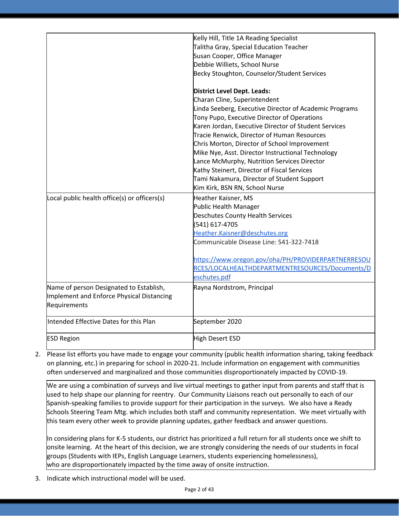|                                              | Kelly Hill, Title 1A Reading Specialist                |
|----------------------------------------------|--------------------------------------------------------|
|                                              | Talitha Gray, Special Education Teacher                |
|                                              | Susan Cooper, Office Manager                           |
|                                              | Debbie Williets, School Nurse                          |
|                                              | Becky Stoughton, Counselor/Student Services            |
|                                              | District Level Dept. Leads:                            |
|                                              | Charan Cline, Superintendent                           |
|                                              | Linda Seeberg, Executive Director of Academic Programs |
|                                              | Tony Pupo, Executive Director of Operations            |
|                                              | Karen Jordan, Executive Director of Student Services   |
|                                              | Tracie Renwick, Director of Human Resources            |
|                                              | Chris Morton, Director of School Improvement           |
|                                              | Mike Nye, Asst. Director Instructional Technology      |
|                                              | Lance McMurphy, Nutrition Services Director            |
|                                              | Kathy Steinert, Director of Fiscal Services            |
|                                              | Tami Nakamura, Director of Student Support             |
|                                              | Kim Kirk, BSN RN, School Nurse                         |
| Local public health office(s) or officers(s) | Heather Kaisner, MS                                    |
|                                              | Public Health Manager                                  |
|                                              | <b>Deschutes County Health Services</b>                |
|                                              | (541) 617-4705                                         |
|                                              | Heather.Kaisner@deschutes.org                          |
|                                              | Communicable Disease Line: 541-322-7418                |
|                                              | https://www.oregon.gov/oha/PH/PROVIDERPARTNERRESOU     |
|                                              | RCES/LOCALHEALTHDEPARTMENTRESOURCES/Documents/D        |
|                                              | eschutes.pdf                                           |
| Name of person Designated to Establish,      | Rayna Nordstrom, Principal                             |
| Implement and Enforce Physical Distancing    |                                                        |
| Requirements                                 |                                                        |
| Intended Effective Dates for this Plan       | September 2020                                         |
| <b>ESD Region</b>                            | High Desert ESD                                        |

2. Please list efforts you have made to engage your community (public health information sharing, taking feedback on planning, etc.) in preparing for school in 2020-21. Include information on engagement with communities often underserved and marginalized and those communities disproportionately impacted by COVID-19.

We are using a combination of surveys and live virtual meetings to gather input from parents and staff that is used to help shape our planning for reentry. Our Community Liaisons reach out personally to each of our Spanish-speaking families to provide support for their participation in the surveys. We also have a Ready Schools Steering Team Mtg. which includes both staff and community representation. We meet virtually with this team every other week to provide planning updates, gather feedback and answer questions.

In considering plans for K-5 students, our district has prioritized a full return for all students once we shift to onsite learning. At the heart of this decision, we are strongly considering the needs of our students in focal groups (Students with IEPs, English Language Learners, students experiencing homelessness), who are disproportionately impacted by the time away of onsite instruction.

3. Indicate which instructional model will be used.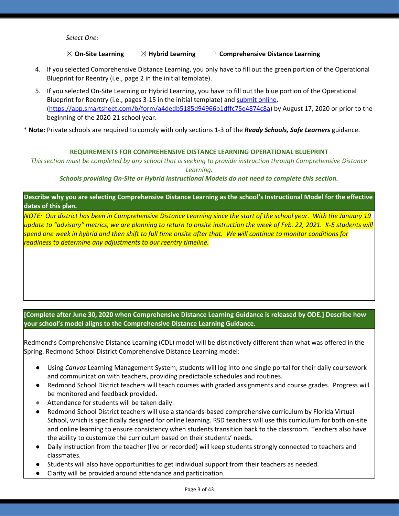*Select One:*

### ☒ **On-Site Learning** ☒ **Hybrid Learning** ▢ **Comprehensive Distance Learning**

- 4. If you selected Comprehensive Distance Learning, you only have to fill out the green portion of the Operational Blueprint for Reentry (i.e., page 2 in the initial template).
- 5. If you selected On-Site Learning or Hybrid Learning, you have to fill out the blue portion of the Operational Blueprint for Reentry (i.e., pages 3-15 in the initial template) and [submit](https://app.smartsheet.com/b/form/a4dedb5185d94966b1dffc75e4874c8a) online. [\(https://app.smartsheet.com/b/form/a4dedb5185d94966b1dffc75e4874c8a\)](https://app.smartsheet.com/b/form/a4dedb5185d94966b1dffc75e4874c8a) by August 17, 2020 or prior to the beginning of the 2020-21 school year.

\* **Note:** Private schools are required to comply with only sections 1-3 of the *Ready Schools, Safe Learners* guidance.

#### **REQUIREMENTS FOR COMPREHENSIVE DISTANCE LEARNING OPERATIONAL BLUEPRINT**

This section must be completed by any school that is seeking to provide instruction through Comprehensive Distance *Learning.*

#### *Schools providing On-Site or Hybrid Instructional Models do not need to complete this section.*

Describe why you are selecting Comprehensive Distance Learning as the school's Instructional Model for the effective **dates of this plan.**

NOTE: Our district has been in Comprehensive Distance Learning since the start of the school year. With the January 19 update to "advisory" metrics, we are planning to return to onsite instruction the week of Feb. 22, 2021. K-5 students will spend one week in hybrid and then shift to full time onsite after that. We will continue to monitor conditions for *readiness to determine any adjustments to our reentry timeline.*

### **[Complete after June 30, 2020 when Comprehensive Distance Learning Guidance is released by ODE.] Describe how your school's model aligns to the Comprehensive Distance Learning Guidance.**

Redmond's Comprehensive Distance Learning (CDL) model will be distinctively different than what was offered in the Spring. Redmond School District Comprehensive Distance Learning model:

- Using *Canvas* Learning Management System, students will log into one single portal for their daily coursework and communication with teachers, providing predictable schedules and routines.
- Redmond School District teachers will teach courses with graded assignments and course grades. Progress will be monitored and feedback provided.
- Attendance for students will be taken daily.
- Redmond School District teachers will use a standards-based comprehensive curriculum by Florida Virtual School, which is specifically designed for online learning. RSD teachers will use this curriculum for both on-site and online learning to ensure consistency when students transition back to the classroom. Teachers also have the ability to customize the curriculum based on their students' needs.
- Daily instruction from the teacher (live or recorded) will keep students strongly connected to teachers and classmates.
- Students will also have opportunities to get individual support from their teachers as needed.
- Clarity will be provided around attendance and participation.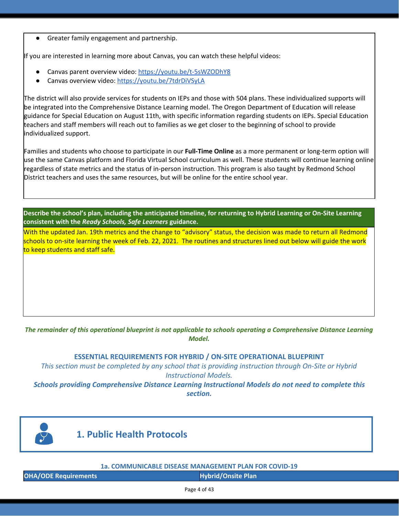Greater family engagement and partnership.

If you are interested in learning more about Canvas, you can watch these helpful videos:

- Canvas parent overview video: <https://youtu.be/t-5sWZODhY8>
- Canvas overview video: <https://youtu.be/7tdrDiVSyLA>

The district will also provide services for students on IEPs and those with 504 plans. These individualized supports will be integrated into the Comprehensive Distance Learning model. The Oregon Department of Education will release guidance for Special Education on August 11th, with specific information regarding students on IEPs. Special Education teachers and staff members will reach out to families as we get closer to the beginning of school to provide individualized support.

Families and students who choose to participate in our **Full-Time Online** as a more permanent or long-term option will use the same Canvas platform and Florida Virtual School curriculum as well. These students will continue learning online regardless of state metrics and the status of in-person instruction. This program is also taught by Redmond School District teachers and uses the same resources, but will be online for the entire school year.

Describe the school's plan, including the anticipated timeline, for returning to Hybrid Learning or On-Site Learning **consistent with the** *Ready Schools, Safe Learners* **guidance.**

With the updated Jan. 19th metrics and the change to "advisory" status, the decision was made to return all Redmond schools to on-site learning the week of Feb. 22, 2021. The routines and structures lined out below will guide the work to keep students and staff safe.

### The remainder of this operational blueprint is not applicable to schools operating a Comprehensive Distance Learning *Model.*

### **ESSENTIAL REQUIREMENTS FOR HYBRID / ON-SITE OPERATIONAL BLUEPRINT**

*This section must be completed by any school that is providing instruction through On-Site or Hybrid Instructional Models.*

*Schools providing Comprehensive Distance Learning Instructional Models do not need to complete this section.*



### **1. Public Health Protocols**

#### **1a. COMMUNICABLE DISEASE MANAGEMENT PLAN FOR COVID-19**

**OHA/ODE Requirements Hybrid/Onsite Plan**

Page 4 of 43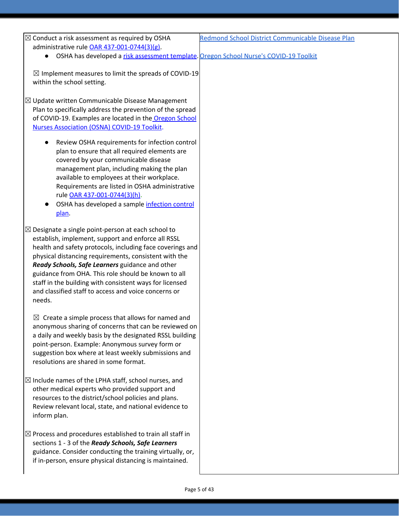| $\boxtimes$ Conduct a risk assessment as required by OSHA                               | Redmond School District Communicable Disease Plan |
|-----------------------------------------------------------------------------------------|---------------------------------------------------|
| administrative rule OAR 437-001-0744(3)(g).                                             |                                                   |
| • OSHA has developed a risk assessment template. Oregon School Nurse's COVID-19 Toolkit |                                                   |

 $\boxtimes$  Implement measures to limit the spreads of COVID-19 within the school setting.

 $\boxtimes$  Update written Communicable Disease Management Plan to specifically address the prevention of the spread of COVID-19. Examples are located in the [Oregon](https://www.oregonschoolnurses.org/resources/covid-19-toolkit) School Nurses [Association](https://www.oregonschoolnurses.org/resources/covid-19-toolkit) (OSNA) COVID-19 Toolkit.

- Review OSHA requirements for infection control plan to ensure that all required elements are covered by your communicable disease management plan, including making the plan available to employees at their workplace. Requirements are listed in OSHA administrative rule OAR [437-001-0744\(3\)\(h\)](https://secure.sos.state.or.us/oard/viewSingleRule.action?ruleVrsnRsn=274961).
- OSHA has d[e](https://osha.oregon.gov/OSHAPubs/pubform/infection-control-plan.docx)veloped a sample [infection](https://osha.oregon.gov/OSHAPubs/pubform/infection-control-plan.docx) control [plan.](https://osha.oregon.gov/OSHAPubs/pubform/infection-control-plan.docx)
- $\boxtimes$  Designate a single point-person at each school to establish, implement, support and enforce all RSSL health and safety protocols, including face coverings and physical distancing requirements, consistent with the *Ready Schools, Safe Learners* guidance and other guidance from OHA. This role should be known to all staff in the building with consistent ways for licensed and classified staff to access and voice concerns or needs.

 $\boxtimes$  Create a simple process that allows for named and anonymous sharing of concerns that can be reviewed on a daily and weekly basis by the designated RSSL building point-person. Example: Anonymous survey form or suggestion box where at least weekly submissions and resolutions are shared in some format.

- $\boxtimes$  Include names of the LPHA staff, school nurses, and other medical experts who provided support and resources to the district/school policies and plans. Review relevant local, state, and national evidence to inform plan.
- $\boxtimes$  Process and procedures established to train all staff in sections 1 - 3 of the *Ready Schools, Safe Learners* guidance. Consider conducting the training virtually, or, if in-person, ensure physical distancing is maintained.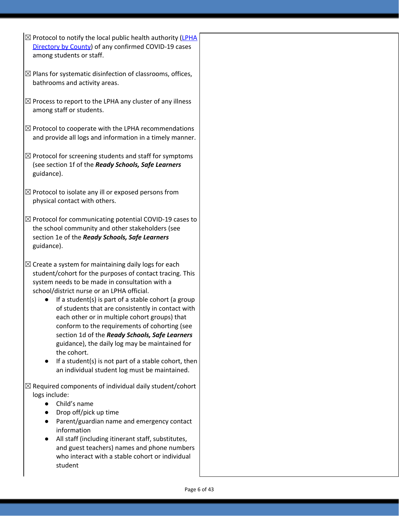- $\boxtimes$  Protocol to notify the local public health authority [\(LPHA](https://www.oregon.gov/oha/ph/providerpartnerresources/localhealthdepartmentresources/pages/lhd.aspx) [Directory](https://www.oregon.gov/oha/ph/providerpartnerresources/localhealthdepartmentresources/pages/lhd.aspx) by County) of any confirmed COVID-19 cases among students or staff.
- $\boxtimes$  Plans for systematic disinfection of classrooms, offices, bathrooms and activity areas.
- $\boxtimes$  Process to report to the LPHA any cluster of any illness among staff or students.
- $\boxtimes$  Protocol to cooperate with the LPHA recommendations and provide all logs and information in a timely manner.
- $\boxtimes$  Protocol for screening students and staff for symptoms (see section 1f of the *Ready Schools, Safe Learners* guidance).
- $\boxtimes$  Protocol to isolate any ill or exposed persons from physical contact with others.
- $\boxtimes$  Protocol for communicating potential COVID-19 cases to the school community and other stakeholders (see section 1e of the *Ready Schools, Safe Learners* guidance).
- $\boxtimes$  Create a system for maintaining daily logs for each student/cohort for the purposes of contact tracing. This system needs to be made in consultation with a school/district nurse or an LPHA official.
	- If a student(s) is part of a stable cohort (a group of students that are consistently in contact with each other or in multiple cohort groups) that conform to the requirements of cohorting (see section 1d of the *Ready Schools, Safe Learners* guidance), the daily log may be maintained for the cohort.
	- If a student(s) is not part of a stable cohort, then an individual student log must be maintained.

 $\boxtimes$  Required components of individual daily student/cohort logs include:

- Child's name
- Drop off/pick up time
- Parent/guardian name and emergency contact information
- All staff (including itinerant staff, substitutes, and guest teachers) names and phone numbers who interact with a stable cohort or individual student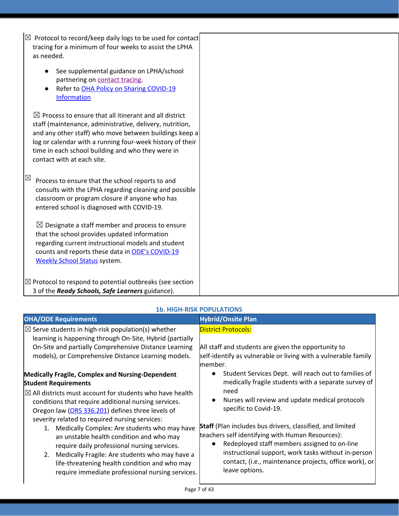| $\boxtimes$ Protocol to record/keep daily logs to be used for contact |  |
|-----------------------------------------------------------------------|--|
| tracing for a minimum of four weeks to assist the LPHA $\parallel$    |  |
| as needed.                                                            |  |

- See supplemental guidance on LPHA/school partnering on [contact](https://www.oregon.gov/ode/students-and-family/healthsafety/Documents/LPHA%20Capacity%20Needs%20and%20Contact%20Tracing.pdf) tracing.
- Refer t[o](https://www.oregon.gov/ode/students-and-family/healthsafety/Documents/Sharing%20COVID%20Information%20with%20Schools.pdf) OHA Policy on Sharing [COVID-19](https://www.oregon.gov/ode/students-and-family/healthsafety/Documents/Sharing%20COVID%20Information%20with%20Schools.pdf) [Information](https://www.oregon.gov/ode/students-and-family/healthsafety/Documents/Sharing%20COVID%20Information%20with%20Schools.pdf)

 $\boxtimes$  Process to ensure that all itinerant and all district staff (maintenance, administrative, delivery, nutrition, and any other staff) who move between buildings keep a log or calendar with a running four-week history of their time in each school building and who they were in contact with at each site.

 $\boxtimes$  Process to ensure that the school reports to and consults with the LPHA regarding cleaning and possible classroom or program closure if anyone who has entered school is diagnosed with COVID-19.

 $\boxtimes$  Designate a staff member and process to ensure that the school provides updated information regarding current instructional models and student counts and reports these data in ODE's [COVID-19](https://www.oregon.gov/ode/students-and-family/healthsafety/Pages/2020-21-School-Status.aspx) [Weekly](https://www.oregon.gov/ode/students-and-family/healthsafety/Pages/2020-21-School-Status.aspx) School Status system.

 $\boxtimes$  Protocol to respond to potential outbreaks (see section 3 of the *Ready Schools, Safe Learners* guidance).

### **1b. HIGH-RISK POPULATIONS**

| <b>OHA/ODE Requirements</b>                                                                                                                                                                                                                                                                                                                                                                                                                                                                                                                                                                                                      | <b>Hybrid/Onsite Plan</b>                                                                                                                                                                                                                                                                                                                                                                                                                                                                                                |
|----------------------------------------------------------------------------------------------------------------------------------------------------------------------------------------------------------------------------------------------------------------------------------------------------------------------------------------------------------------------------------------------------------------------------------------------------------------------------------------------------------------------------------------------------------------------------------------------------------------------------------|--------------------------------------------------------------------------------------------------------------------------------------------------------------------------------------------------------------------------------------------------------------------------------------------------------------------------------------------------------------------------------------------------------------------------------------------------------------------------------------------------------------------------|
| $\boxtimes$ Serve students in high-risk population(s) whether<br>learning is happening through On-Site, Hybrid (partially<br>On-Site and partially Comprehensive Distance Learning<br>models), or Comprehensive Distance Learning models.                                                                                                                                                                                                                                                                                                                                                                                        | <b>District Protocols:</b><br>All staff and students are given the opportunity to<br>self-identify as vulnerable or living with a vulnerable family<br>member.                                                                                                                                                                                                                                                                                                                                                           |
| Medically Fragile, Complex and Nursing-Dependent<br><b>Student Requirements</b><br>$\boxtimes$ All districts must account for students who have health<br>conditions that require additional nursing services.<br>Oregon law (ORS 336.201) defines three levels of<br>severity related to required nursing services:<br>Medically Complex: Are students who may have<br>1.<br>an unstable health condition and who may<br>require daily professional nursing services.<br>2. Medically Fragile: Are students who may have a<br>life-threatening health condition and who may<br>require immediate professional nursing services. | Student Services Dept. will reach out to families of<br>medically fragile students with a separate survey of<br>need<br>Nurses will review and update medical protocols<br>$\bullet$<br>specific to Covid-19.<br><b>Staff</b> (Plan includes bus drivers, classified, and limited<br>teachers self identifying with Human Resources):<br>Redeployed staff members assigned to on-line<br>instructional support, work tasks without in-person<br>contact, (i.e., maintenance projects, office work), or<br>leave options. |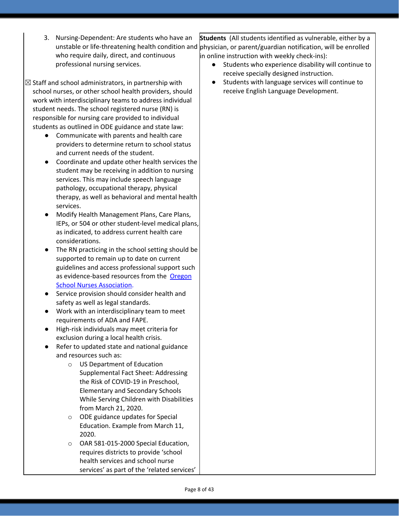- 3. Nursing-Dependent: Are students who have an unstable or life-threatening health condition and **|**physician, or parent/guardian notification, will be enrolled who require daily, direct, and continuous professional nursing services. **Students** (All students identified as vulnerable, either by a in online instruction with weekly check-ins):
- $\boxtimes$  Staff and school administrators, in partnership with school nurses, or other school health providers, should work with interdisciplinary teams to address individual student needs. The school registered nurse (RN) is responsible for nursing care provided to individual students as outlined in ODE guidance and state law:
	- Communicate with parents and health care providers to determine return to school status and current needs of the student.
	- Coordinate and update other health services the student may be receiving in addition to nursing services. This may include speech language pathology, occupational therapy, physical therapy, as well as behavioral and mental health services.
	- Modify Health Management Plans, Care Plans, IEPs, or 504 or other student-level medical plans, as indicated, to address current health care considerations.
	- The RN practicing in the school setting should be supported to remain up to date on current guidelines and access professional support such as evidence-based resources from the [Oregon](https://www.oregonschoolnurses.org/resources/covid-19-toolkit) School Nurses [Association](https://www.oregonschoolnurses.org/resources/covid-19-toolkit).
	- Service provision should consider health and safety as well as legal standards.
	- Work with an interdisciplinary team to meet requirements of ADA and FAPE.
	- High-risk individuals may meet criteria for exclusion during a local health crisis.
	- Refer to updated state and national guidance and resources such as:
		- o US Department of Education Supplemental Fact Sheet: Addressing the Risk of COVID-19 in Preschool, Elementary and Secondary Schools While Serving Children with Disabilities from March 21, 2020.
		- o ODE guidance updates for Special Education. Example from March 11, 2020.
		- o OAR 581-015-2000 Special Education, requires districts to provide 'school health services and school nurse services' as part of the 'related services'
- Students who experience disability will continue to receive specially designed instruction.
- Students with language services will continue to receive English Language Development.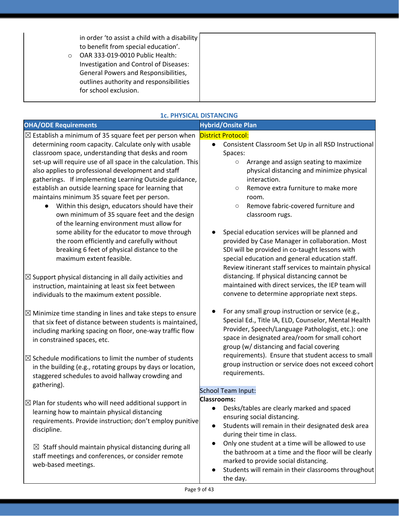in order 'to assist a child with a disability to benefit from special education'.

o OAR 333-019-0010 Public Health: Investigation and Control of Diseases: General Powers and Responsibilities, outlines authority and responsibilities for school exclusion.

### **1c. PHYSICAL DISTANCING**

| <b>OHA/ODE Requirements</b>                                                                                                                                                                                                            | <b>Hybrid/Onsite Plan</b>                                                                                                                                                                                                                                     |
|----------------------------------------------------------------------------------------------------------------------------------------------------------------------------------------------------------------------------------------|---------------------------------------------------------------------------------------------------------------------------------------------------------------------------------------------------------------------------------------------------------------|
|                                                                                                                                                                                                                                        |                                                                                                                                                                                                                                                               |
| $\boxtimes$ Establish a minimum of 35 square feet per person when<br>determining room capacity. Calculate only with usable<br>classroom space, understanding that desks and room                                                       | <b>District Protocol:</b><br>Consistent Classroom Set Up in all RSD Instructional<br>$\bullet$<br>Spaces:                                                                                                                                                     |
| set-up will require use of all space in the calculation. This<br>also applies to professional development and staff<br>gatherings. If implementing Learning Outside guidance,<br>establish an outside learning space for learning that | Arrange and assign seating to maximize<br>$\circ$<br>physical distancing and minimize physical<br>interaction.<br>Remove extra furniture to make more<br>$\circ$                                                                                              |
| maintains minimum 35 square feet per person.<br>Within this design, educators should have their<br>own minimum of 35 square feet and the design<br>of the learning environment must allow for                                          | room.<br>Remove fabric-covered furniture and<br>$\circ$<br>classroom rugs.                                                                                                                                                                                    |
| some ability for the educator to move through<br>the room efficiently and carefully without<br>breaking 6 feet of physical distance to the<br>maximum extent feasible.                                                                 | Special education services will be planned and<br>provided by Case Manager in collaboration. Most<br>SDI will be provided in co-taught lessons with<br>special education and general education staff.<br>Review itinerant staff services to maintain physical |
| $\boxtimes$ Support physical distancing in all daily activities and<br>instruction, maintaining at least six feet between<br>individuals to the maximum extent possible.                                                               | distancing. If physical distancing cannot be<br>maintained with direct services, the IEP team will<br>convene to determine appropriate next steps.                                                                                                            |
| $\boxtimes$ Minimize time standing in lines and take steps to ensure<br>that six feet of distance between students is maintained,<br>including marking spacing on floor, one-way traffic flow<br>in constrained spaces, etc.           | For any small group instruction or service (e.g.,<br>Special Ed., Title IA, ELD, Counselor, Mental Health<br>Provider, Speech/Language Pathologist, etc.): one<br>space in designated area/room for small cohort<br>group (w/ distancing and facial covering  |
| $\boxtimes$ Schedule modifications to limit the number of students<br>in the building (e.g., rotating groups by days or location,<br>staggered schedules to avoid hallway crowding and<br>gathering).                                  | requirements). Ensure that student access to small<br>group instruction or service does not exceed cohort<br>requirements.                                                                                                                                    |
|                                                                                                                                                                                                                                        | <b>School Team Input:</b>                                                                                                                                                                                                                                     |
| $\boxtimes$ Plan for students who will need additional support in<br>learning how to maintain physical distancing<br>requirements. Provide instruction; don't employ punitive<br>discipline.                                           | <b>Classrooms:</b><br>• Desks/tables are clearly marked and spaced<br>ensuring social distancing.<br>Students will remain in their designated desk area<br>$\bullet$<br>during their time in class.                                                           |
| $\boxtimes$ Staff should maintain physical distancing during all<br>staff meetings and conferences, or consider remote<br>web-based meetings.                                                                                          | Only one student at a time will be allowed to use<br>$\bullet$<br>the bathroom at a time and the floor will be clearly<br>marked to provide social distancing.<br>Students will remain in their classrooms throughout<br>the day.                             |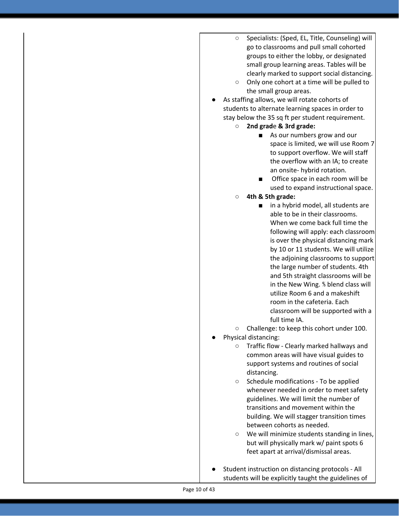- Specialists: (Sped, EL, Title, Counseling) will go to classrooms and pull small cohorted groups to either the lobby, or designated small group learning areas. Tables will be clearly marked to support social distancing.
- Only one cohort at a time will be pulled to the small group areas.
- As staffing allows, we will rotate cohorts of students to alternate learning spaces in order to stay below the 35 sq ft per student requirement.
	- **2nd grad**e **& 3rd grade:**
		- As our numbers grow and our space is limited, we will use Room 7 to support overflow. We will staff the overflow with an IA; to create an onsite- hybrid rotation.
		- Office space in each room will be used to expand instructional space.
	- **○ 4th & 5th grade:**
		- **■** in a hybrid model, all students are able to be in their classrooms. When we come back full time the following will apply: each classroom is over the physical distancing mark by 10 or 11 students. We will utilize the adjoining classrooms to support the large number of students. 4th and 5th straight classrooms will be in the New Wing. ⅘ blend class will utilize Room 6 and a makeshift room in the cafeteria. Each classroom will be supported with a full time IA.
	- Challenge: to keep this cohort under 100.
- Physical distancing:
	- Traffic flow Clearly marked hallways and common areas will have visual guides to support systems and routines of social distancing.
	- Schedule modifications To be applied whenever needed in order to meet safety guidelines. We will limit the number of transitions and movement within the building. We will stagger transition times between cohorts as needed.
	- We will minimize students standing in lines, but will physically mark w/ paint spots 6 feet apart at arrival/dismissal areas.
- Student instruction on distancing protocols All students will be explicitly taught the guidelines of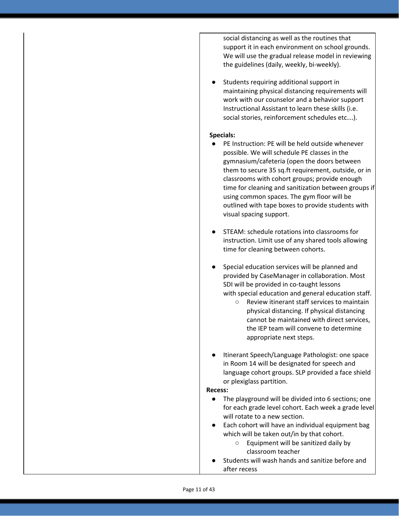social distancing as well as the routines that support it in each environment on school grounds. We will use the gradual release model in reviewing the guidelines (daily, weekly, bi-weekly).

Students requiring additional support in maintaining physical distancing requirements will work with our counselor and a behavior support Instructional Assistant to learn these skills (i.e. social stories, reinforcement schedules etc…).

#### **Specials:**

- PE Instruction: PE will be held outside whenever possible. We will schedule PE classes in the gymnasium/cafeteria (open the doors between them to secure 35 sq.ft requirement, outside, or in classrooms with cohort groups; provide enough time for cleaning and sanitization between groups if using common spaces. The gym floor will be outlined with tape boxes to provide students with visual spacing support.
- STEAM: schedule rotations into classrooms for instruction. Limit use of any shared tools allowing time for cleaning between cohorts.
- Special education services will be planned and provided by CaseManager in collaboration. Most SDI will be provided in co-taught lessons with special education and general education staff.
	- Review itinerant staff services to maintain physical distancing. If physical distancing cannot be maintained with direct services, the IEP team will convene to determine appropriate next steps.
- Itinerant Speech/Language Pathologist: one space in Room 14 will be designated for speech and language cohort groups. SLP provided a face shield or plexiglass partition.

#### **Recess:**

- The playground will be divided into 6 sections; one for each grade level cohort. Each week a grade level will rotate to a new section.
- Each cohort will have an individual equipment bag which will be taken out/in by that cohort.
	- Equipment will be sanitized daily by classroom teacher
- Students will wash hands and sanitize before and after recess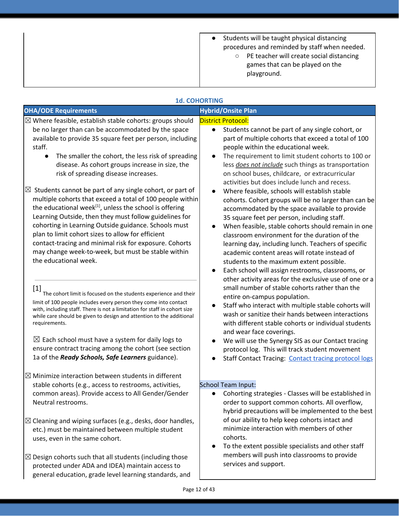| Students will be taught physical distancing   |
|-----------------------------------------------|
| procedures and reminded by staff when needed. |

○ PE teacher will create social distancing games that can be played on the playground.

| <b>1d. COHORTING</b>                                                                                                                                                                                                                                                                                                                                                                                                                                                                                                                                                                                                                                                                                                                                                                                                                                                                                                                                                                                                                                                                                                                                                                                                                                                                                                                                                               |                                                                                                                                                                                                                                                                                                                                                                                                                                                                                                                                                                                                                                                                                                                                                                                                                                                                                                                                                                                                                                                                                                                                                                                                                                                                                                                                                                                                                                                               |
|------------------------------------------------------------------------------------------------------------------------------------------------------------------------------------------------------------------------------------------------------------------------------------------------------------------------------------------------------------------------------------------------------------------------------------------------------------------------------------------------------------------------------------------------------------------------------------------------------------------------------------------------------------------------------------------------------------------------------------------------------------------------------------------------------------------------------------------------------------------------------------------------------------------------------------------------------------------------------------------------------------------------------------------------------------------------------------------------------------------------------------------------------------------------------------------------------------------------------------------------------------------------------------------------------------------------------------------------------------------------------------|---------------------------------------------------------------------------------------------------------------------------------------------------------------------------------------------------------------------------------------------------------------------------------------------------------------------------------------------------------------------------------------------------------------------------------------------------------------------------------------------------------------------------------------------------------------------------------------------------------------------------------------------------------------------------------------------------------------------------------------------------------------------------------------------------------------------------------------------------------------------------------------------------------------------------------------------------------------------------------------------------------------------------------------------------------------------------------------------------------------------------------------------------------------------------------------------------------------------------------------------------------------------------------------------------------------------------------------------------------------------------------------------------------------------------------------------------------------|
| <b>OHA/ODE Requirements</b>                                                                                                                                                                                                                                                                                                                                                                                                                                                                                                                                                                                                                                                                                                                                                                                                                                                                                                                                                                                                                                                                                                                                                                                                                                                                                                                                                        | <b>Hybrid/Onsite Plan</b>                                                                                                                                                                                                                                                                                                                                                                                                                                                                                                                                                                                                                                                                                                                                                                                                                                                                                                                                                                                                                                                                                                                                                                                                                                                                                                                                                                                                                                     |
| $\boxtimes$ Where feasible, establish stable cohorts: groups should<br>be no larger than can be accommodated by the space<br>available to provide 35 square feet per person, including<br>staff.<br>The smaller the cohort, the less risk of spreading<br>disease. As cohort groups increase in size, the<br>risk of spreading disease increases.<br>$\boxtimes$ Students cannot be part of any single cohort, or part of<br>multiple cohorts that exceed a total of 100 people within<br>the educational week <sup>[1]</sup> , unless the school is offering<br>Learning Outside, then they must follow guidelines for<br>cohorting in Learning Outside guidance. Schools must<br>plan to limit cohort sizes to allow for efficient<br>contact-tracing and minimal risk for exposure. Cohorts<br>may change week-to-week, but must be stable within<br>the educational week.<br>$[1]$<br>The cohort limit is focused on the students experience and their<br>limit of 100 people includes every person they come into contact<br>with, including staff. There is not a limitation for staff in cohort size<br>while care should be given to design and attention to the additional<br>requirements.<br>$\boxtimes$ Each school must have a system for daily logs to<br>ensure contract tracing among the cohort (see section<br>1a of the Ready Schools, Safe Learners guidance). | <b>District Protocol:</b><br>Students cannot be part of any single cohort, or<br>$\bullet$<br>part of multiple cohorts that exceed a total of 100<br>people within the educational week.<br>The requirement to limit student cohorts to 100 or<br>less <i>does not include</i> such things as transportation<br>on school buses, childcare, or extracurricular<br>activities but does include lunch and recess.<br>Where feasible, schools will establish stable<br>cohorts. Cohort groups will be no larger than can be<br>accommodated by the space available to provide<br>35 square feet per person, including staff.<br>When feasible, stable cohorts should remain in one<br>classroom environment for the duration of the<br>learning day, including lunch. Teachers of specific<br>academic content areas will rotate instead of<br>students to the maximum extent possible.<br>Each school will assign restrooms, classrooms, or<br>other activity areas for the exclusive use of one or a<br>small number of stable cohorts rather than the<br>entire on-campus population.<br>Staff who interact with multiple stable cohorts will<br>wash or sanitize their hands between interactions<br>with different stable cohorts or individual students<br>and wear face coverings.<br>We will use the Synergy SIS as our Contact tracing<br>protocol log. This will track student movement<br><b>Staff Contact Tracing: Contact tracing protocol logs</b> |
| $\boxtimes$ Minimize interaction between students in different<br>stable cohorts (e.g., access to restrooms, activities,<br>common areas). Provide access to All Gender/Gender<br>Neutral restrooms.<br>$\boxtimes$ Cleaning and wiping surfaces (e.g., desks, door handles,<br>etc.) must be maintained between multiple student<br>uses, even in the same cohort.<br>$\boxtimes$ Design cohorts such that all students (including those<br>protected under ADA and IDEA) maintain access to<br>general education, grade level learning standards, and                                                                                                                                                                                                                                                                                                                                                                                                                                                                                                                                                                                                                                                                                                                                                                                                                            | <b>School Team Input:</b><br>Cohorting strategies - Classes will be established in<br>order to support common cohorts. All overflow,<br>hybrid precautions will be implemented to the best<br>of our ability to help keep cohorts intact and<br>minimize interaction with members of other<br>cohorts.<br>To the extent possible specialists and other staff<br>members will push into classrooms to provide<br>services and support.                                                                                                                                                                                                                                                                                                                                                                                                                                                                                                                                                                                                                                                                                                                                                                                                                                                                                                                                                                                                                         |
| Page 12 of 43                                                                                                                                                                                                                                                                                                                                                                                                                                                                                                                                                                                                                                                                                                                                                                                                                                                                                                                                                                                                                                                                                                                                                                                                                                                                                                                                                                      |                                                                                                                                                                                                                                                                                                                                                                                                                                                                                                                                                                                                                                                                                                                                                                                                                                                                                                                                                                                                                                                                                                                                                                                                                                                                                                                                                                                                                                                               |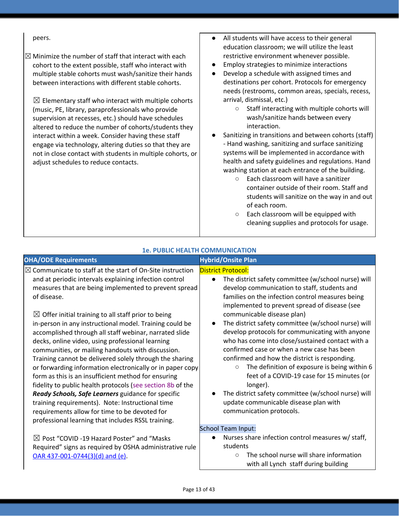$\boxtimes$  Minimize the number of staff that interact with each cohort to the extent possible, staff who interact with multiple stable cohorts must wash/sanitize their hands between interactions with different stable cohorts.

 $\boxtimes$  Elementary staff who interact with multiple cohorts (music, PE, library, paraprofessionals who provide supervision at recesses, etc.) should have schedules altered to reduce the number of cohorts/students they interact within a week. Consider having these staff engage via technology, altering duties so that they are not in close contact with students in multiple cohorts, or adjust schedules to reduce contacts.

- peers. **All students will have access to their general** education classroom; we will utilize the least restrictive environment whenever possible.
	- Employ strategies to minimize interactions
	- Develop a schedule with assigned times and destinations per cohort. Protocols for emergency needs (restrooms, common areas, specials, recess, arrival, dismissal, etc.)
		- Staff interacting with multiple cohorts will wash/sanitize hands between every interaction.
	- Sanitizing in transitions and between cohorts (staff) - Hand washing, sanitizing and surface sanitizing systems will be implemented in accordance with health and safety guidelines and regulations. Hand washing station at each entrance of the building.
		- Each classroom will have a sanitizer container outside of their room. Staff and students will sanitize on the way in and out of each room.
		- Each classroom will be equipped with cleaning supplies and protocols for usage.

| <b>OHA/ODE Requirements</b>                                                                                                                                                                                                                                                                                                                                                                                                                                                                                                                                                                                                                                                                                                                                                                                                                                   | <b>Hybrid/Onsite Plan</b>                                                                                                                                                                                                                                                                                                                                                                                                                                                                                                                                                                                                                                                                                                                                          |
|---------------------------------------------------------------------------------------------------------------------------------------------------------------------------------------------------------------------------------------------------------------------------------------------------------------------------------------------------------------------------------------------------------------------------------------------------------------------------------------------------------------------------------------------------------------------------------------------------------------------------------------------------------------------------------------------------------------------------------------------------------------------------------------------------------------------------------------------------------------|--------------------------------------------------------------------------------------------------------------------------------------------------------------------------------------------------------------------------------------------------------------------------------------------------------------------------------------------------------------------------------------------------------------------------------------------------------------------------------------------------------------------------------------------------------------------------------------------------------------------------------------------------------------------------------------------------------------------------------------------------------------------|
| $\boxtimes$ Communicate to staff at the start of On-Site instruction<br>and at periodic intervals explaining infection control<br>measures that are being implemented to prevent spread<br>of disease.<br>$\boxtimes$ Offer initial training to all staff prior to being<br>in-person in any instructional model. Training could be<br>accomplished through all staff webinar, narrated slide<br>decks, online video, using professional learning<br>communities, or mailing handouts with discussion.<br>Training cannot be delivered solely through the sharing<br>or forwarding information electronically or in paper copy<br>form as this is an insufficient method for ensuring<br>fidelity to public health protocols (see section 8b of the<br>Ready Schools, Safe Learners guidance for specific<br>training requirements). Note: Instructional time | <b>District Protocol:</b><br>The district safety committee (w/school nurse) will<br>$\bullet$<br>develop communication to staff, students and<br>families on the infection control measures being<br>implemented to prevent spread of disease (see<br>communicable disease plan)<br>The district safety committee (w/school nurse) will<br>develop protocols for communicating with anyone<br>who has come into close/sustained contact with a<br>confirmed case or when a new case has been<br>confirmed and how the district is responding.<br>The definition of exposure is being within 6<br>$\circ$<br>feet of a COVID-19 case for 15 minutes (or<br>longer).<br>The district safety committee (w/school nurse) will<br>update communicable disease plan with |
| requirements allow for time to be devoted for<br>professional learning that includes RSSL training.                                                                                                                                                                                                                                                                                                                                                                                                                                                                                                                                                                                                                                                                                                                                                           | communication protocols.                                                                                                                                                                                                                                                                                                                                                                                                                                                                                                                                                                                                                                                                                                                                           |
|                                                                                                                                                                                                                                                                                                                                                                                                                                                                                                                                                                                                                                                                                                                                                                                                                                                               | <b>School Team Input:</b>                                                                                                                                                                                                                                                                                                                                                                                                                                                                                                                                                                                                                                                                                                                                          |
| $\boxtimes$ Post "COVID -19 Hazard Poster" and "Masks<br>Required" signs as required by OSHA administrative rule<br>OAR 437-001-0744(3)(d) and (e).                                                                                                                                                                                                                                                                                                                                                                                                                                                                                                                                                                                                                                                                                                           | Nurses share infection control measures w/ staff,<br>students<br>The school nurse will share information<br>$\circ$<br>with all Lynch staff during building                                                                                                                                                                                                                                                                                                                                                                                                                                                                                                                                                                                                        |

**1e. PUBLIC HEALTH COMMUNICATION**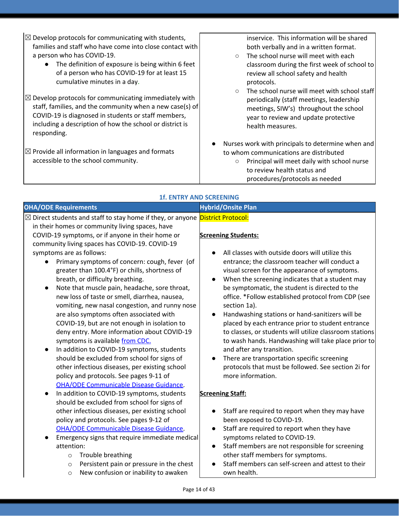- $\boxtimes$  Develop protocols for communicating with students, families and staff who have come into close contact with a person who has COVID-19.
	- The definition of exposure is being within 6 feet of a person who has COVID-19 for at least 15 cumulative minutes in a day.
- $\boxtimes$  Develop protocols for communicating immediately with staff, families, and the community when a new case(s) of COVID-19 is diagnosed in students or staff members, including a description of how the school or district is responding.
- $\boxtimes$  Provide all information in languages and formats accessible to the school community.

inservice. This information will be shared both verbally and in a written format.

- The school nurse will meet with each classroom during the first week of school to review all school safety and health protocols.
- The school nurse will meet with school staff periodically (staff meetings, leadership meetings, SIW's) throughout the school year to review and update protective health measures.
- Nurses work with principals to determine when and to whom communications are distributed
	- Principal will meet daily with school nurse to review health status and procedures/protocols as needed

|                                                                                                                                                                                                                                                                                                                                                                                                                                                                                                                                                                                                                                                                                                                                                                                                                                                                                                                                      | <b>1f. ENTRY AND SCREENING</b>                                                                                                                                                                                                                                                                                                                                                                                                                                                                                                                                                                                                                                                                                                                 |
|--------------------------------------------------------------------------------------------------------------------------------------------------------------------------------------------------------------------------------------------------------------------------------------------------------------------------------------------------------------------------------------------------------------------------------------------------------------------------------------------------------------------------------------------------------------------------------------------------------------------------------------------------------------------------------------------------------------------------------------------------------------------------------------------------------------------------------------------------------------------------------------------------------------------------------------|------------------------------------------------------------------------------------------------------------------------------------------------------------------------------------------------------------------------------------------------------------------------------------------------------------------------------------------------------------------------------------------------------------------------------------------------------------------------------------------------------------------------------------------------------------------------------------------------------------------------------------------------------------------------------------------------------------------------------------------------|
| <b>OHA/ODE Requirements</b>                                                                                                                                                                                                                                                                                                                                                                                                                                                                                                                                                                                                                                                                                                                                                                                                                                                                                                          | <b>Hybrid/Onsite Plan</b>                                                                                                                                                                                                                                                                                                                                                                                                                                                                                                                                                                                                                                                                                                                      |
| ⊠ Direct students and staff to stay home if they, or anyone District Protocol:<br>in their homes or community living spaces, have<br>COVID-19 symptoms, or if anyone in their home or<br>community living spaces has COVID-19. COVID-19<br>symptoms are as follows:<br>Primary symptoms of concern: cough, fever (of<br>greater than 100.4°F) or chills, shortness of<br>breath, or difficulty breathing.<br>Note that muscle pain, headache, sore throat,<br>new loss of taste or smell, diarrhea, nausea,<br>vomiting, new nasal congestion, and runny nose<br>are also symptoms often associated with<br>COVID-19, but are not enough in isolation to<br>deny entry. More information about COVID-19<br>symptoms is available from CDC.<br>In addition to COVID-19 symptoms, students<br>should be excluded from school for signs of<br>other infectious diseases, per existing school<br>policy and protocols. See pages 9-11 of | <b>Screening Students:</b><br>All classes with outside doors will utilize this<br>entrance; the classroom teacher will conduct a<br>visual screen for the appearance of symptoms.<br>When the screening indicates that a student may<br>be symptomatic, the student is directed to the<br>office. *Follow established protocol from CDP (see<br>section 1a).<br>Handwashing stations or hand-sanitizers will be<br>placed by each entrance prior to student entrance<br>to classes, or students will utilize classroom stations<br>to wash hands. Handwashing will take place prior to<br>and after any transition.<br>There are transportation specific screening<br>protocols that must be followed. See section 2i for<br>more information. |
| <b>OHA/ODE Communicable Disease Guidance.</b><br>In addition to COVID-19 symptoms, students<br>$\bullet$<br>should be excluded from school for signs of<br>other infectious diseases, per existing school<br>policy and protocols. See pages 9-12 of<br><b>OHA/ODE Communicable Disease Guidance.</b><br>Emergency signs that require immediate medical<br>attention:<br>Trouble breathing<br>$\circ$<br>Persistent pain or pressure in the chest<br>$\circ$<br>New confusion or inability to awaken<br>$\circ$                                                                                                                                                                                                                                                                                                                                                                                                                      | <b>Screening Staff:</b><br>Staff are required to report when they may have<br>been exposed to COVID-19.<br>Staff are required to report when they have<br>symptoms related to COVID-19.<br>Staff members are not responsible for screening<br>other staff members for symptoms.<br>Staff members can self-screen and attest to their<br>own health.                                                                                                                                                                                                                                                                                                                                                                                            |

Page 14 of 43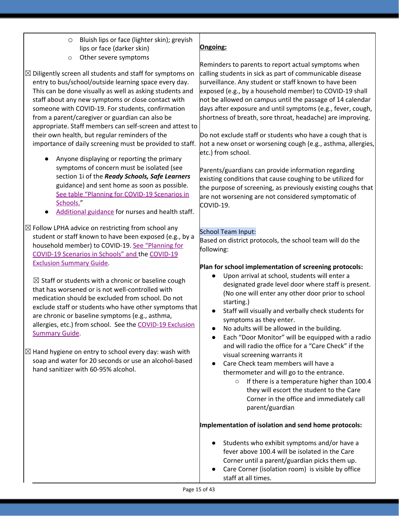- o Bluish lips or face (lighter skin); greyish lips or face (darker skin)
- o Other severe symptoms

 $\boxtimes$  Diligently screen all students and staff for symptoms on entry to bus/school/outside learning space every day. This can be done visually as well as asking students and staff about any new symptoms or close contact with someone with COVID-19. For students, confirmation from a parent/caregiver or guardian can also be appropriate. Staff members can self-screen and attest to their own health, but regular reminders of the importance of daily screening must be provided to staff.

- Anyone displaying or reporting the primary symptoms of concern must be isolated (see section 1i of the *Ready Schools, Safe Learners* guidance) and sent home as soon as possible. See table "Planning for [COVID-19](https://www.oregon.gov/ode/students-and-family/healthsafety/Documents/Planning%20and%20Responding%20to%20COVID-19%20Scenarios%20in%20Schools.pdf) Scenarios in [Schools."](https://www.oregon.gov/ode/students-and-family/healthsafety/Documents/Planning%20and%20Responding%20to%20COVID-19%20Scenarios%20in%20Schools.pdf)
- [Additional](https://www.oregon.gov/ode/students-and-family/healthsafety/Documents/Additional%20Considerations%20for%20Staff%20Working%20with%20Students%20with%20Complex%20Needs.pdf) guidance for nurses and health staff.

 $\boxtimes$  Follow LPHA advice on restricting from school any student or staff known to have been exposed (e.g., by a household member) to COVID-19. See ["Planning](https://www.oregon.gov/ode/students-and-family/healthsafety/Documents/Planning%20and%20Responding%20to%20COVID-19%20Scenarios%20in%20Schools.pdf) for [COVID-19](https://www.oregon.gov/ode/students-and-family/healthsafety/Documents/Planning%20and%20Responding%20to%20COVID-19%20Scenarios%20in%20Schools.pdf) Scenarios in Schools" and th[e](https://www.oregon.gov/ode/students-and-family/healthsafety/Documents/COVID-19%20Exclusion%20Summary%20Chart.pdf) [COVID-19](https://www.oregon.gov/ode/students-and-family/healthsafety/Documents/COVID-19%20Exclusion%20Summary%20Chart.pdf) Exclusion [Summary](https://www.oregon.gov/ode/students-and-family/healthsafety/Documents/COVID-19%20Exclusion%20Summary%20Chart.pdf) Guide.

 $\boxtimes$  Staff or students with a chronic or baseline cough that has worsened or is not well-controlled with medication should be excluded from school. Do not exclude staff or students who have other symptoms that are chronic or baseline symptoms (e.g., asthma, allergies, etc.) from school. See the [COVID-19](https://www.oregon.gov/ode/students-and-family/healthsafety/Documents/COVID-19%20Exclusion%20Summary%20Chart.pdf) Exclusion [Summary](https://www.oregon.gov/ode/students-and-family/healthsafety/Documents/COVID-19%20Exclusion%20Summary%20Chart.pdf) Guide.

 $\boxtimes$  Hand hygiene on entry to school every day: wash with soap and water for 20 seconds or use an alcohol-based hand sanitizer with 60-95% alcohol.

### **Ongoing:**

Reminders to parents to report actual symptoms when calling students in sick as part of communicable disease surveillance. Any student or staff known to have been exposed (e.g., by a household member) to COVID-19 shall not be allowed on campus until the passage of 14 calendar days after exposure and until symptoms (e.g., fever, cough, shortness of breath, sore throat, headache) are improving.

Do not exclude staff or students who have a cough that is not a new onset or worsening cough (e.g., asthma, allergies, etc.) from school.

Parents/guardians can provide information regarding existing conditions that cause coughing to be utilized for the purpose of screening, as previously existing coughs that are not worsening are not considered symptomatic of COVID-19.

### School Team Input:

Based on district protocols, the school team will do the following:

### **Plan for school implementation of screening protocols:**

- Upon arrival at school, students will enter a designated grade level door where staff is present. (No one will enter any other door prior to school starting.)
- Staff will visually and verbally check students for symptoms as they enter.
- No adults will be allowed in the building.
- Each "Door Monitor" will be equipped with a radio and will radio the office for a "Care Check" if the visual screening warrants it
- Care Check team members will have a thermometer and will go to the entrance.
	- If there is a temperature higher than 100.4 they will escort the student to the Care Corner in the office and immediately call parent/guardian

### **Implementation of isolation and send home protocols:**

- Students who exhibit symptoms and/or have a fever above 100.4 will be isolated in the Care Corner until a parent/guardian picks them up.
- Care Corner (isolation room) is visible by office staff at all times.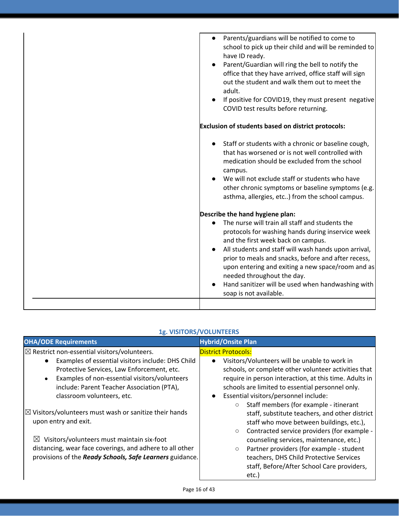| Parents/guardians will be notified to come to<br>$\bullet$<br>school to pick up their child and will be reminded to<br>have ID ready.<br>Parent/Guardian will ring the bell to notify the<br>office that they have arrived, office staff will sign<br>out the student and walk them out to meet the<br>adult.<br>If positive for COVID19, they must present negative<br>COVID test results before returning.                |
|-----------------------------------------------------------------------------------------------------------------------------------------------------------------------------------------------------------------------------------------------------------------------------------------------------------------------------------------------------------------------------------------------------------------------------|
| Exclusion of students based on district protocols:                                                                                                                                                                                                                                                                                                                                                                          |
| Staff or students with a chronic or baseline cough,<br>that has worsened or is not well controlled with<br>medication should be excluded from the school<br>campus.<br>We will not exclude staff or students who have<br>other chronic symptoms or baseline symptoms (e.g.<br>asthma, allergies, etc) from the school campus.                                                                                               |
| Describe the hand hygiene plan:                                                                                                                                                                                                                                                                                                                                                                                             |
| The nurse will train all staff and students the<br>protocols for washing hands during inservice week<br>and the first week back on campus.<br>All students and staff will wash hands upon arrival,<br>prior to meals and snacks, before and after recess,<br>upon entering and exiting a new space/room and as<br>needed throughout the day.<br>Hand sanitizer will be used when handwashing with<br>soap is not available. |
|                                                                                                                                                                                                                                                                                                                                                                                                                             |

| <b>1g. VISITORS/VOLUNTEERS</b> |  |
|--------------------------------|--|
|--------------------------------|--|

| <b>OHA/ODE Requirements</b>                                       | <b>Hybrid/Onsite Plan</b>                                          |
|-------------------------------------------------------------------|--------------------------------------------------------------------|
| $\boxtimes$ Restrict non-essential visitors/volunteers.           | <b>District Protocols:</b>                                         |
| Examples of essential visitors include: DHS Child                 | Visitors/Volunteers will be unable to work in<br>$\bullet$         |
| Protective Services, Law Enforcement, etc.                        | schools, or complete other volunteer activities that               |
| Examples of non-essential visitors/volunteers<br>$\bullet$        | require in person interaction, at this time. Adults in             |
| include: Parent Teacher Association (PTA),                        | schools are limited to essential personnel only.                   |
| classroom volunteers, etc.                                        | Essential visitors/personnel include:<br>$\bullet$                 |
|                                                                   | Staff members (for example - itinerant<br>$\circ$                  |
| $\boxtimes$ Visitors/volunteers must wash or sanitize their hands | staff, substitute teachers, and other district                     |
| upon entry and exit.                                              | staff who move between buildings, etc.),                           |
|                                                                   | Contracted service providers (for example -<br>$\circlearrowright$ |
| Visitors/volunteers must maintain six-foot<br>$\boxtimes$         | counseling services, maintenance, etc.)                            |
| distancing, wear face coverings, and adhere to all other          | Partner providers (for example - student<br>$\circ$                |
| provisions of the Ready Schools, Safe Learners guidance.          | teachers, DHS Child Protective Services                            |
|                                                                   | staff, Before/After School Care providers,                         |
|                                                                   | etc.)                                                              |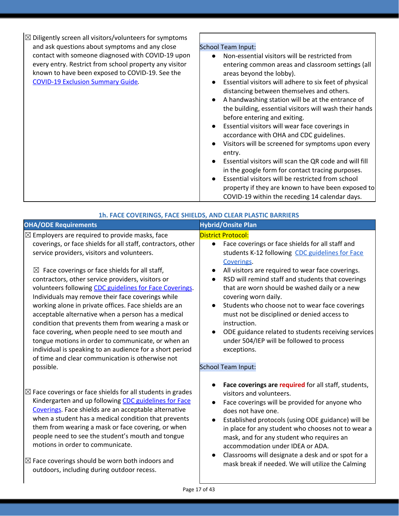| $\boxtimes$ Diligently screen all visitors/volunteers for symptoms |                                                                                                                  |
|--------------------------------------------------------------------|------------------------------------------------------------------------------------------------------------------|
| and ask questions about symptoms and any close                     | <b>School Team Input:</b>                                                                                        |
| contact with someone diagnosed with COVID-19 upon                  | Non-essential visitors will be restricted from<br>$\bullet$                                                      |
| every entry. Restrict from school property any visitor             | entering common areas and classroom settings (all                                                                |
| known to have been exposed to COVID-19. See the                    | areas beyond the lobby).                                                                                         |
| <b>COVID-19 Exclusion Summary Guide.</b>                           | Essential visitors will adhere to six feet of physical<br>$\bullet$<br>distancing between themselves and others. |
|                                                                    | A handwashing station will be at the entrance of<br>$\bullet$                                                    |
|                                                                    | the building, essential visitors will wash their hands                                                           |
|                                                                    | before entering and exiting.                                                                                     |
|                                                                    | Essential visitors will wear face coverings in<br>$\bullet$                                                      |
|                                                                    | accordance with OHA and CDC guidelines.                                                                          |
|                                                                    | Visitors will be screened for symptoms upon every<br>$\bullet$                                                   |
|                                                                    | entry.                                                                                                           |
|                                                                    | Essential visitors will scan the QR code and will fill<br>$\bullet$                                              |
|                                                                    | in the google form for contact tracing purposes.                                                                 |
|                                                                    | Essential visitors will be restricted from school<br>$\bullet$                                                   |
|                                                                    | property if they are known to have been exposed to                                                               |
|                                                                    | COVID-19 within the receding 14 calendar days.                                                                   |

| 1h. FACE COVERINGS, FACE SHIELDS, AND CLEAR PLASTIC BARRIERS                                                                                                                                                                                                                                                                                                                                                                                                                                                                                                                                                                                                                                                                                                                                                            |                                                                                                                                                                                                                                                                                                                                                                                                                                                                                                                                                                                                                              |
|-------------------------------------------------------------------------------------------------------------------------------------------------------------------------------------------------------------------------------------------------------------------------------------------------------------------------------------------------------------------------------------------------------------------------------------------------------------------------------------------------------------------------------------------------------------------------------------------------------------------------------------------------------------------------------------------------------------------------------------------------------------------------------------------------------------------------|------------------------------------------------------------------------------------------------------------------------------------------------------------------------------------------------------------------------------------------------------------------------------------------------------------------------------------------------------------------------------------------------------------------------------------------------------------------------------------------------------------------------------------------------------------------------------------------------------------------------------|
| <b>OHA/ODE Requirements</b>                                                                                                                                                                                                                                                                                                                                                                                                                                                                                                                                                                                                                                                                                                                                                                                             | <b>Hybrid/Onsite Plan</b>                                                                                                                                                                                                                                                                                                                                                                                                                                                                                                                                                                                                    |
| $\boxtimes$ Employers are required to provide masks, face<br>coverings, or face shields for all staff, contractors, other<br>service providers, visitors and volunteers.<br>$\boxtimes$ Face coverings or face shields for all staff,<br>contractors, other service providers, visitors or<br>volunteers following CDC guidelines for Face Coverings.<br>Individuals may remove their face coverings while<br>working alone in private offices. Face shields are an<br>acceptable alternative when a person has a medical<br>condition that prevents them from wearing a mask or<br>face covering, when people need to see mouth and<br>tongue motions in order to communicate, or when an<br>individual is speaking to an audience for a short period<br>of time and clear communication is otherwise not<br>possible. | <b>District Protocol:</b><br>Face coverings or face shields for all staff and<br>$\bullet$<br>students K-12 following CDC guidelines for Face<br>Coverings.<br>All visitors are required to wear face coverings.<br>RSD will remind staff and students that coverings<br>$\bullet$<br>that are worn should be washed daily or a new<br>covering worn daily.<br>Students who choose not to wear face coverings<br>must not be disciplined or denied access to<br>instruction.<br>ODE guidance related to students receiving services<br>under 504/IEP will be followed to process<br>exceptions.<br><b>School Team Input:</b> |
| $\boxtimes$ Face coverings or face shields for all students in grades<br>Kindergarten and up following CDC guidelines for Face<br>Coverings. Face shields are an acceptable alternative<br>when a student has a medical condition that prevents<br>them from wearing a mask or face covering, or when<br>people need to see the student's mouth and tongue<br>motions in order to communicate.<br>$\boxtimes$ Face coverings should be worn both indoors and<br>outdoors, including during outdoor recess.                                                                                                                                                                                                                                                                                                              | Face coverings are required for all staff, students,<br>visitors and volunteers.<br>Face coverings will be provided for anyone who<br>$\bullet$<br>does not have one.<br>Established protocols (using ODE guidance) will be<br>$\bullet$<br>in place for any student who chooses not to wear a<br>mask, and for any student who requires an<br>accommodation under IDEA or ADA.<br>Classrooms will designate a desk and or spot for a<br>mask break if needed. We will utilize the Calming                                                                                                                                   |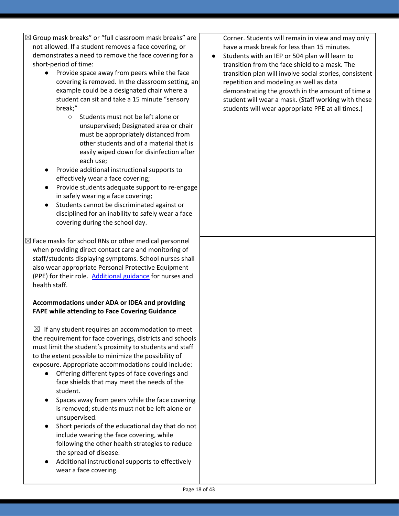- $\boxtimes$  Group mask breaks" or "full classroom mask breaks" are not allowed. If a student removes a face covering, or demonstrates a need to remove the face covering for a short-period of time:
	- Provide space away from peers while the face covering is removed. In the classroom setting, an example could be a designated chair where a student can sit and take a 15 minute "sensory break;"
		- Students must not be left alone or unsupervised; Designated area or chair must be appropriately distanced from other students and of a material that is easily wiped down for disinfection after each use;
	- Provide additional instructional supports to effectively wear a face covering;
	- Provide students adequate support to re-engage in safely wearing a face covering;
	- Students cannot be discriminated against or disciplined for an inability to safely wear a face covering during the school day.
- $\boxtimes$  Face masks for school RNs or other medical personnel when providing direct contact care and monitoring of staff/students displaying symptoms. School nurses shall also wear appropriate Personal Protective Equipment (PPE) for their role. [Additional](https://www.oregon.gov/ode/students-and-family/healthsafety/Documents/Additional%20Considerations%20for%20Staff%20Working%20with%20Students%20with%20Complex%20Needs.pdf) guidance for nurses and health staff.

### **Accommodations under ADA or IDEA and providing FAPE while attending to Face Covering Guidance**

 $\boxtimes$  If any student requires an accommodation to meet the requirement for face coverings, districts and schools must limit the student's proximity to students and staff to the extent possible to minimize the possibility of exposure. Appropriate accommodations could include:

- Offering different types of face coverings and face shields that may meet the needs of the student.
- Spaces away from peers while the face covering is removed; students must not be left alone or unsupervised.
- Short periods of the educational day that do not include wearing the face covering, while following the other health strategies to reduce the spread of disease.
- Additional instructional supports to effectively wear a face covering.

Corner. Students will remain in view and may only have a mask break for less than 15 minutes.

● Students with an IEP or 504 plan will learn to transition from the face shield to a mask. The transition plan will involve social stories, consistent repetition and modeling as well as data demonstrating the growth in the amount of time a student will wear a mask. (Staff working with these students will wear appropriate PPE at all times.)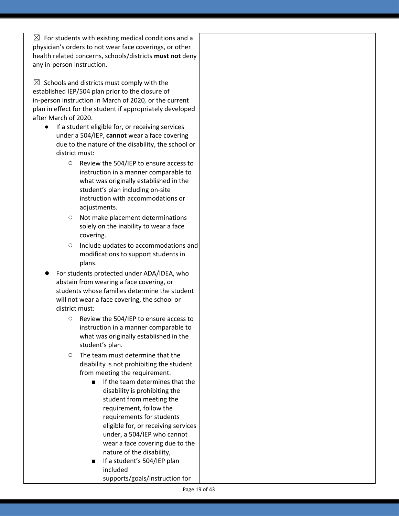$\boxtimes$  For students with existing medical conditions and a physician's orders to not wear face coverings, or other health related concerns, schools/districts **must not** deny any in-person instruction.

 $\boxtimes$  Schools and districts must comply with the established IEP/504 plan prior to the closure of in-person instruction in March of 2020*,* or the current plan in effect for the student if appropriately developed after March of 2020.

- If a student eligible for, or receiving services under a 504/IEP, **cannot** wear a face covering due to the nature of the disability, the school or district must:
	- Review the 504/IEP to ensure access to instruction in a manner comparable to what was originally established in the student's plan including on-site instruction with accommodations or adjustments.
	- Not make placement determinations solely on the inability to wear a face covering.
	- Include updates to accommodations and modifications to support students in plans.
- For students protected under ADA/IDEA, who abstain from wearing a face covering, or students whose families determine the student will not wear a face covering, the school or district must:
	- Review the 504/IEP to ensure access to instruction in a manner comparable to what was originally established in the student's plan.
	- The team must determine that the disability is not prohibiting the student from meeting the requirement.
		- If the team determines that the disability is prohibiting the student from meeting the requirement, follow the requirements for students eligible for, or receiving services under, a 504/IEP who cannot wear a face covering due to the nature of the disability,
		- If a student's 504/IEP plan included supports/goals/instruction for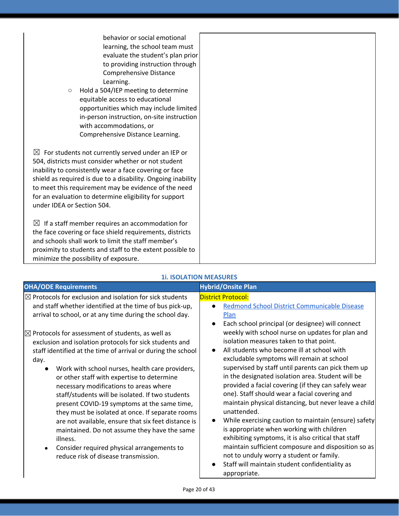| behavior or social emotional<br>learning, the school team must<br>evaluate the student's plan prior<br>to providing instruction through<br>Comprehensive Distance<br>Learning.<br>Hold a 504/IEP meeting to determine<br>$\circlearrowright$<br>equitable access to educational<br>opportunities which may include limited<br>in-person instruction, on-site instruction<br>with accommodations, or<br>Comprehensive Distance Learning. |  |
|-----------------------------------------------------------------------------------------------------------------------------------------------------------------------------------------------------------------------------------------------------------------------------------------------------------------------------------------------------------------------------------------------------------------------------------------|--|
| $\boxtimes$ For students not currently served under an IEP or<br>504, districts must consider whether or not student<br>inability to consistently wear a face covering or face<br>shield as required is due to a disability. Ongoing inability<br>to meet this requirement may be evidence of the need<br>for an evaluation to determine eligibility for support<br>under IDEA or Section 504.                                          |  |
| $\boxtimes$ If a staff member requires an accommodation for<br>the face covering or face shield requirements, districts<br>and schools shall work to limit the staff member's<br>proximity to students and staff to the extent possible to<br>minimize the possibility of exposure.                                                                                                                                                     |  |

### **1i. ISOLATION MEASURES**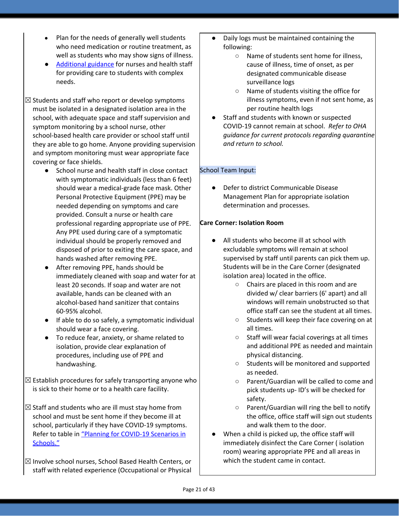- Plan for the needs of generally well students who need medication or routine treatment, as well as students who may show signs of illness.
- [Additional](https://www.oregon.gov/ode/students-and-family/healthsafety/Documents/Additional%20Considerations%20for%20Staff%20Working%20with%20Students%20with%20Complex%20Needs.pdf) guidance for nurses and health staff for providing care to students with complex needs.
- $\boxtimes$  Students and staff who report or develop symptoms must be isolated in a designated isolation area in the school, with adequate space and staff supervision and symptom monitoring by a school nurse, other school-based health care provider or school staff until they are able to go home. Anyone providing supervision and symptom monitoring must wear appropriate face covering or face shields.
	- School nurse and health staff in close contact with symptomatic individuals (less than 6 feet) should wear a medical-grade face mask. Other Personal Protective Equipment (PPE) may be needed depending on symptoms and care provided. Consult a nurse or health care professional regarding appropriate use of PPE. Any PPE used during care of a symptomatic individual should be properly removed and disposed of prior to exiting the care space, and hands washed after removing PPE.
	- After removing PPE, hands should be immediately cleaned with soap and water for at least 20 seconds. If soap and water are not available, hands can be cleaned with an alcohol-based hand sanitizer that contains 60-95% alcohol.
	- If able to do so safely, a symptomatic individual should wear a face covering.
	- To reduce fear, anxiety, or shame related to isolation, provide clear explanation of procedures, including use of PPE and handwashing.
- $\boxtimes$  Establish procedures for safely transporting anyone who is sick to their home or to a health care facility.
- $\boxtimes$  Staff and students who are ill must stay home from school and must be sent home if they become ill at school, particularly if they have COVID-19 symptoms. Refer to table i[n](https://www.oregon.gov/ode/students-and-family/healthsafety/Documents/Planning%20and%20Responding%20to%20COVID-19%20Scenarios%20in%20Schools%20August%202020.pdf) "Planning for [COVID-19](https://www.oregon.gov/ode/students-and-family/healthsafety/Documents/Planning%20and%20Responding%20to%20COVID-19%20Scenarios%20in%20Schools%20August%202020.pdf) Scenarios in [Schools."](https://www.oregon.gov/ode/students-and-family/healthsafety/Documents/Planning%20and%20Responding%20to%20COVID-19%20Scenarios%20in%20Schools%20August%202020.pdf)
- $\boxtimes$  Involve school nurses, School Based Health Centers, or staff with related experience (Occupational or Physical
- Daily logs must be maintained containing the following:
	- Name of students sent home for illness, cause of illness, time of onset, as per designated communicable disease surveillance logs
	- Name of students visiting the office for illness symptoms, even if not sent home, as per routine health logs
- Staff and students with known or suspected COVID-19 cannot remain at school. *Refer to OHA guidance for current protocols regarding quarantine and return to school.*

### School Team Input:

Defer to district Communicable Disease Management Plan for appropriate isolation determination and processes.

#### **Care Corner: Isolation Room**

- All students who become ill at school with excludable symptoms will remain at school supervised by staff until parents can pick them up. Students will be in the Care Corner (designated isolation area) located in the office.
	- Chairs are placed in this room and are divided w/ clear barriers (6' apart) and all windows will remain unobstructed so that office staff can see the student at all times.
	- Students will keep their face covering on at all times.
	- Staff will wear facial coverings at all times and additional PPE as needed and maintain physical distancing.
	- Students will be monitored and supported as needed.
	- Parent/Guardian will be called to come and pick students up- ID's will be checked for safety.
	- Parent/Guardian will ring the bell to notify the office, office staff will sign out students and walk them to the door.
- When a child is picked up, the office staff will immediately disinfect the Care Corner ( isolation room) wearing appropriate PPE and all areas in which the student came in contact.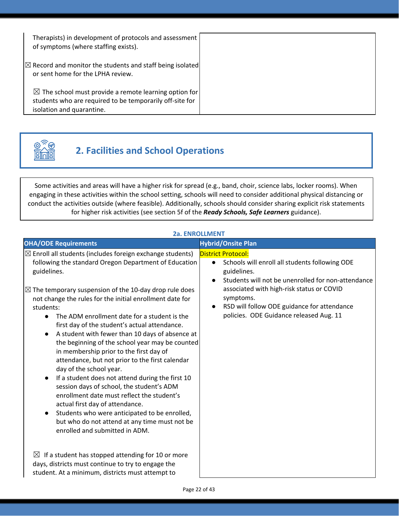| Therapists) in development of protocols and assessment<br>of symptoms (where staffing exists).                                                            |  |
|-----------------------------------------------------------------------------------------------------------------------------------------------------------|--|
| $ \mathbb{Z} $ Record and monitor the students and staff being isolated<br>or sent home for the LPHA review.                                              |  |
| $\boxtimes$ The school must provide a remote learning option for<br>students who are required to be temporarily off-site for<br>isolation and quarantine. |  |



## **2. Facilities and School Operations**

Some activities and areas will have a higher risk for spread (e.g., band, choir, science labs, locker rooms). When engaging in these activities within the school setting, schools will need to consider additional physical distancing or conduct the activities outside (where feasible). Additionally, schools should consider sharing explicit risk statements for higher risk activities (see section 5f of the *Ready Schools, Safe Learners* guidance).

### **2a. ENROLLMENT**

| <b>OHA/ODE Requirements</b>                                                                                                                                                                                                                                                                                                                                                                                                                                                                                                                                                                                                                                                                                                                                                                                                                                                                                                                                   | <b>Hybrid/Onsite Plan</b>                                                                                                                                                                                                                                                                                         |
|---------------------------------------------------------------------------------------------------------------------------------------------------------------------------------------------------------------------------------------------------------------------------------------------------------------------------------------------------------------------------------------------------------------------------------------------------------------------------------------------------------------------------------------------------------------------------------------------------------------------------------------------------------------------------------------------------------------------------------------------------------------------------------------------------------------------------------------------------------------------------------------------------------------------------------------------------------------|-------------------------------------------------------------------------------------------------------------------------------------------------------------------------------------------------------------------------------------------------------------------------------------------------------------------|
| $\boxtimes$ Enroll all students (includes foreign exchange students)<br>following the standard Oregon Department of Education<br>guidelines.<br>$\boxtimes$ The temporary suspension of the 10-day drop rule does<br>not change the rules for the initial enrollment date for<br>students:<br>The ADM enrollment date for a student is the<br>first day of the student's actual attendance.<br>A student with fewer than 10 days of absence at<br>$\bullet$<br>the beginning of the school year may be counted<br>in membership prior to the first day of<br>attendance, but not prior to the first calendar<br>day of the school year.<br>If a student does not attend during the first 10<br>session days of school, the student's ADM<br>enrollment date must reflect the student's<br>actual first day of attendance.<br>Students who were anticipated to be enrolled,<br>but who do not attend at any time must not be<br>enrolled and submitted in ADM. | <b>District Protocol:</b><br>Schools will enroll all students following ODE<br>$\bullet$<br>guidelines.<br>Students will not be unenrolled for non-attendance<br>associated with high-risk status or COVID<br>symptoms.<br>RSD will follow ODE guidance for attendance<br>policies. ODE Guidance released Aug. 11 |
| $\boxtimes$ If a student has stopped attending for 10 or more<br>days, districts must continue to try to engage the<br>student. At a minimum, districts must attempt to                                                                                                                                                                                                                                                                                                                                                                                                                                                                                                                                                                                                                                                                                                                                                                                       |                                                                                                                                                                                                                                                                                                                   |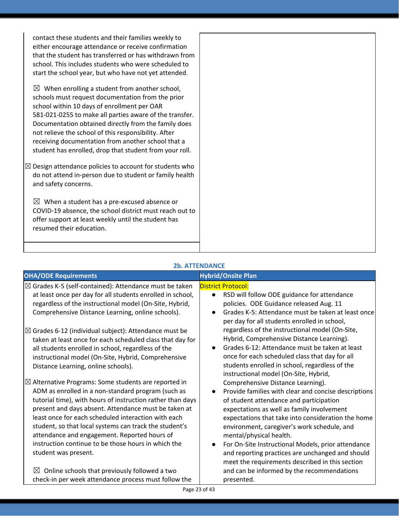| that the student has transferred or has withdrawn from<br>$\boxtimes$ Design attendance policies to account for students who<br>do not attend in-person due to student or family health<br>COVID-19 absence, the school district must reach out to |
|----------------------------------------------------------------------------------------------------------------------------------------------------------------------------------------------------------------------------------------------------|

| <b>OHA/ODE Requirements</b>                                                                                        | <b>Hybrid/Onsite Plan</b>                                                                         |
|--------------------------------------------------------------------------------------------------------------------|---------------------------------------------------------------------------------------------------|
| $\boxtimes$ Grades K-5 (self-contained): Attendance must be taken                                                  | <b>District Protocol:</b>                                                                         |
| at least once per day for all students enrolled in school,                                                         | RSD will follow ODE guidance for attendance<br>$\bullet$                                          |
| regardless of the instructional model (On-Site, Hybrid,                                                            | policies. ODE Guidance released Aug. 11                                                           |
| Comprehensive Distance Learning, online schools).                                                                  | Grades K-5: Attendance must be taken at least once<br>$\bullet$                                   |
|                                                                                                                    | per day for all students enrolled in school,                                                      |
| $\boxtimes$ Grades 6-12 (individual subject): Attendance must be                                                   | regardless of the instructional model (On-Site,                                                   |
| taken at least once for each scheduled class that day for                                                          | Hybrid, Comprehensive Distance Learning).                                                         |
| all students enrolled in school, regardless of the                                                                 | Grades 6-12: Attendance must be taken at least                                                    |
| instructional model (On-Site, Hybrid, Comprehensive                                                                | once for each scheduled class that day for all                                                    |
| Distance Learning, online schools).                                                                                | students enrolled in school, regardless of the                                                    |
|                                                                                                                    | instructional model (On-Site, Hybrid,                                                             |
| $\boxtimes$ Alternative Programs: Some students are reported in                                                    | Comprehensive Distance Learning).                                                                 |
| ADM as enrolled in a non-standard program (such as                                                                 | Provide families with clear and concise descriptions<br>$\bullet$                                 |
| tutorial time), with hours of instruction rather than days<br>present and days absent. Attendance must be taken at | of student attendance and participation                                                           |
| least once for each scheduled interaction with each                                                                | expectations as well as family involvement                                                        |
| student, so that local systems can track the student's                                                             | expectations that take into consideration the home<br>environment, caregiver's work schedule, and |
| attendance and engagement. Reported hours of                                                                       | mental/physical health.                                                                           |
| instruction continue to be those hours in which the                                                                | For On-Site Instructional Models, prior attendance                                                |
| student was present.                                                                                               | and reporting practices are unchanged and should                                                  |
|                                                                                                                    | meet the requirements described in this section                                                   |
| Online schools that previously followed a two<br>⊠                                                                 | and can be informed by the recommendations                                                        |
| check-in per week attendance process must follow the                                                               | presented.                                                                                        |

### **2b. ATTENDANCE**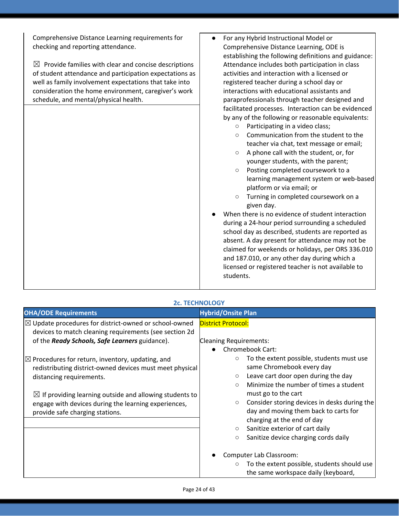Comprehensive Distance Learning requirements for checking and reporting attendance.

 $\boxtimes$  Provide families with clear and concise descriptions of student attendance and participation expectations as well as family involvement expectations that take into consideration the home environment, caregiver's work schedule, and mental/physical health.

- For any Hybrid Instructional Model or Comprehensive Distance Learning, ODE is establishing the following definitions and guidance: Attendance includes both participation in class activities and interaction with a licensed or registered teacher during a school day or interactions with educational assistants and paraprofessionals through teacher designed and facilitated processes. Interaction can be evidenced by any of the following or reasonable equivalents:
	- Participating in a video class;
	- Communication from the student to the teacher via chat, text message or email;
	- A phone call with the student, or, for younger students, with the parent;
	- Posting completed coursework to a learning management system or web-based platform or via email; or
	- Turning in completed coursework on a given day.
- When there is no evidence of student interaction during a 24-hour period surrounding a scheduled school day as described, students are reported as absent. A day present for attendance may not be claimed for weekends or holidays, per ORS 336.010 and 187.010, or any other day during which a licensed or registered teacher is not available to students.

|                                                                                                                                                                                                                                                                                                                      | <b>2c. TECHNOLOGY</b>                                                                                                                                                                                                                                                                                                                                                                                                                                                                                                                                                                      |
|----------------------------------------------------------------------------------------------------------------------------------------------------------------------------------------------------------------------------------------------------------------------------------------------------------------------|--------------------------------------------------------------------------------------------------------------------------------------------------------------------------------------------------------------------------------------------------------------------------------------------------------------------------------------------------------------------------------------------------------------------------------------------------------------------------------------------------------------------------------------------------------------------------------------------|
| <b>OHA/ODE Requirements</b>                                                                                                                                                                                                                                                                                          | <b>Hybrid/Onsite Plan</b>                                                                                                                                                                                                                                                                                                                                                                                                                                                                                                                                                                  |
| $\boxtimes$ Update procedures for district-owned or school-owned<br>devices to match cleaning requirements (see section 2d<br>of the Ready Schools, Safe Learners guidance).                                                                                                                                         | <b>District Protocol:</b><br><b>Cleaning Requirements:</b><br><b>Chromebook Cart:</b>                                                                                                                                                                                                                                                                                                                                                                                                                                                                                                      |
| $\boxtimes$ Procedures for return, inventory, updating, and<br>redistributing district-owned devices must meet physical<br>distancing requirements.<br>$\boxtimes$ If providing learning outside and allowing students to<br>engage with devices during the learning experiences,<br>provide safe charging stations. | To the extent possible, students must use<br>$\circ$<br>same Chromebook every day<br>Leave cart door open during the day<br>$\circ$<br>Minimize the number of times a student<br>$\circ$<br>must go to the cart<br>Consider storing devices in desks during the<br>$\circ$<br>day and moving them back to carts for<br>charging at the end of day<br>Sanitize exterior of cart daily<br>$\circ$<br>Sanitize device charging cords daily<br>$\circ$<br>Computer Lab Classroom:<br>To the extent possible, students should use<br>$\circlearrowright$<br>the same workspace daily (keyboard, |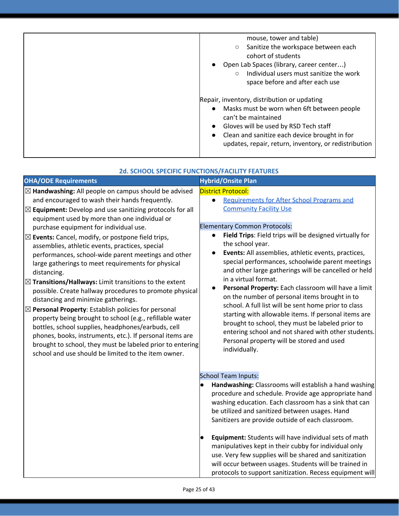| mouse, tower and table)<br>Sanitize the workspace between each<br>cohort of students<br>Open Lab Spaces (library, career center)<br>Individual users must sanitize the work<br>$\circ$<br>space before and after each use                                                        |
|----------------------------------------------------------------------------------------------------------------------------------------------------------------------------------------------------------------------------------------------------------------------------------|
| Repair, inventory, distribution or updating<br>Masks must be worn when 6ft between people<br>can't be maintained<br>Gloves will be used by RSD Tech staff<br>Clean and sanitize each device brought in for<br>$\bullet$<br>updates, repair, return, inventory, or redistribution |

|                                                                                                                                                                                                                                                                                                                                                                                                                                                                                                                                                                                                                                                                                                                                                                                                                                                                                                                                                                                                                                                                               | <b>2d. SCHOOL SPECIFIC FUNCTIONS/FACILITY FEATURES</b>                                                                                                                                                                                                                                                                                                                                                                                                                                                                                                                                                                                                                                                                                                                                                                                                            |
|-------------------------------------------------------------------------------------------------------------------------------------------------------------------------------------------------------------------------------------------------------------------------------------------------------------------------------------------------------------------------------------------------------------------------------------------------------------------------------------------------------------------------------------------------------------------------------------------------------------------------------------------------------------------------------------------------------------------------------------------------------------------------------------------------------------------------------------------------------------------------------------------------------------------------------------------------------------------------------------------------------------------------------------------------------------------------------|-------------------------------------------------------------------------------------------------------------------------------------------------------------------------------------------------------------------------------------------------------------------------------------------------------------------------------------------------------------------------------------------------------------------------------------------------------------------------------------------------------------------------------------------------------------------------------------------------------------------------------------------------------------------------------------------------------------------------------------------------------------------------------------------------------------------------------------------------------------------|
| <b>OHA/ODE Requirements</b>                                                                                                                                                                                                                                                                                                                                                                                                                                                                                                                                                                                                                                                                                                                                                                                                                                                                                                                                                                                                                                                   | <b>Hybrid/Onsite Plan</b>                                                                                                                                                                                                                                                                                                                                                                                                                                                                                                                                                                                                                                                                                                                                                                                                                                         |
| $\boxtimes$ Handwashing: All people on campus should be advised<br>and encouraged to wash their hands frequently.<br>$\boxtimes$ Equipment: Develop and use sanitizing protocols for all<br>equipment used by more than one individual or<br>purchase equipment for individual use.<br>$\boxtimes$ Events: Cancel, modify, or postpone field trips,<br>assemblies, athletic events, practices, special<br>performances, school-wide parent meetings and other<br>large gatherings to meet requirements for physical<br>distancing.<br>$\boxtimes$ Transitions/Hallways: Limit transitions to the extent<br>possible. Create hallway procedures to promote physical<br>distancing and minimize gatherings.<br>$\boxtimes$ Personal Property: Establish policies for personal<br>property being brought to school (e.g., refillable water<br>bottles, school supplies, headphones/earbuds, cell<br>phones, books, instruments, etc.). If personal items are<br>brought to school, they must be labeled prior to entering<br>school and use should be limited to the item owner. | <b>District Protocol:</b><br>Requirements for After School Programs and<br>$\bullet$<br><b>Community Facility Use</b><br><b>Elementary Common Protocols:</b><br>Field Trips: Field trips will be designed virtually for<br>$\bullet$<br>the school year.<br>Events: All assemblies, athletic events, practices,<br>$\bullet$<br>special performances, schoolwide parent meetings<br>and other large gatherings will be cancelled or held<br>in a virtual format.<br>Personal Property: Each classroom will have a limit<br>on the number of personal items brought in to<br>school. A full list will be sent home prior to class<br>starting with allowable items. If personal items are<br>brought to school, they must be labeled prior to<br>entering school and not shared with other students.<br>Personal property will be stored and used<br>individually. |
|                                                                                                                                                                                                                                                                                                                                                                                                                                                                                                                                                                                                                                                                                                                                                                                                                                                                                                                                                                                                                                                                               | <b>School Team Inputs:</b><br>Handwashing: Classrooms will establish a hand washing<br>procedure and schedule. Provide age appropriate hand<br>washing education. Each classroom has a sink that can<br>be utilized and sanitized between usages. Hand<br>Sanitizers are provide outside of each classroom.<br>Equipment: Students will have individual sets of math<br>manipulatives kept in their cubby for individual only<br>use. Very few supplies will be shared and sanitization<br>will occur between usages. Students will be trained in<br>protocols to support sanitization. Recess equipment will                                                                                                                                                                                                                                                     |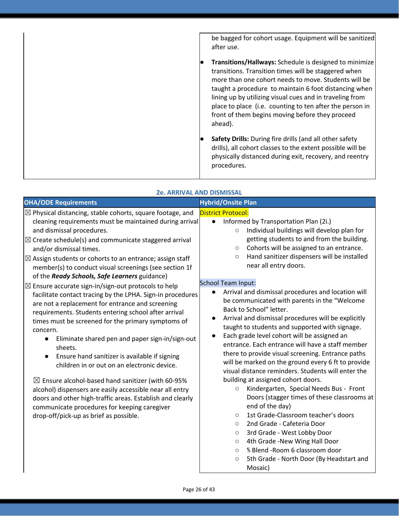be bagged for cohort usage. Equipment will be sanitized after use. ● **Transitions/Hallways:** Schedule is designed to minimize transitions. Transition times will be staggered when more than one cohort needs to move. Students will be taught a procedure to maintain 6 foot distancing when lining up by utilizing visual cues and in traveling from place to place (i.e. counting to ten after the person in front of them begins moving before they proceed ahead). ● **Safety Drills:** During fire drills (and all other safety drills), all cohort classes to the extent possible will be physically distanced during exit, recovery, and reentry procedures.

| <b>OHA/ODE Requirements</b>                                                                                                                                                                                                                                                                                                                                                                                                                                                                                                                                                                                                                                                                                                                                                                                                                                                                                                                                                                                                                                                                                                                                                                                                            | <b>Hybrid/Onsite Plan</b>                                                                                                                                                                                                                                                                                                                                                                                                                                                                                                                                                                                                                                                                                                                                                                                                                                                                                                                                                                                                                                                                                                                                                                                                                                                                                                                                                                                                 |
|----------------------------------------------------------------------------------------------------------------------------------------------------------------------------------------------------------------------------------------------------------------------------------------------------------------------------------------------------------------------------------------------------------------------------------------------------------------------------------------------------------------------------------------------------------------------------------------------------------------------------------------------------------------------------------------------------------------------------------------------------------------------------------------------------------------------------------------------------------------------------------------------------------------------------------------------------------------------------------------------------------------------------------------------------------------------------------------------------------------------------------------------------------------------------------------------------------------------------------------|---------------------------------------------------------------------------------------------------------------------------------------------------------------------------------------------------------------------------------------------------------------------------------------------------------------------------------------------------------------------------------------------------------------------------------------------------------------------------------------------------------------------------------------------------------------------------------------------------------------------------------------------------------------------------------------------------------------------------------------------------------------------------------------------------------------------------------------------------------------------------------------------------------------------------------------------------------------------------------------------------------------------------------------------------------------------------------------------------------------------------------------------------------------------------------------------------------------------------------------------------------------------------------------------------------------------------------------------------------------------------------------------------------------------------|
| $\boxtimes$ Physical distancing, stable cohorts, square footage, and<br>cleaning requirements must be maintained during arrival<br>and dismissal procedures.<br>$\boxtimes$ Create schedule(s) and communicate staggered arrival<br>and/or dismissal times.<br>$\boxtimes$ Assign students or cohorts to an entrance; assign staff<br>member(s) to conduct visual screenings (see section 1f<br>of the Ready Schools, Safe Learners guidance)<br>$\boxtimes$ Ensure accurate sign-in/sign-out protocols to help<br>facilitate contact tracing by the LPHA. Sign-in procedures<br>are not a replacement for entrance and screening<br>requirements. Students entering school after arrival<br>times must be screened for the primary symptoms of<br>concern.<br>Eliminate shared pen and paper sign-in/sign-out<br>$\bullet$<br>sheets.<br>Ensure hand sanitizer is available if signing<br>$\bullet$<br>children in or out on an electronic device.<br>$\boxtimes$ Ensure alcohol-based hand sanitizer (with 60-95%<br>alcohol) dispensers are easily accessible near all entry<br>doors and other high-traffic areas. Establish and clearly<br>communicate procedures for keeping caregiver<br>drop-off/pick-up as brief as possible. | <b>District Protocol:</b><br>Informed by Transportation Plan (2i.)<br>$\bullet$<br>Individual buildings will develop plan for<br>$\circ$<br>getting students to and from the building.<br>Cohorts will be assigned to an entrance.<br>$\circ$<br>Hand sanitizer dispensers will be installed<br>$\circlearrowright$<br>near all entry doors.<br><b>School Team Input:</b><br>Arrival and dismissal procedures and location will<br>$\bullet$<br>be communicated with parents in the "Welcome<br>Back to School" letter.<br>Arrival and dismissal procedures will be explicitly<br>$\bullet$<br>taught to students and supported with signage.<br>Each grade level cohort will be assigned an<br>$\bullet$<br>entrance. Each entrance will have a staff member<br>there to provide visual screening. Entrance paths<br>will be marked on the ground every 6 ft to provide<br>visual distance reminders. Students will enter the<br>building at assigned cohort doors.<br>Kindergarten, Special Needs Bus - Front<br>$\bigcirc$<br>Doors (stagger times of these classrooms at<br>end of the day)<br>1st Grade-Classroom teacher's doors<br>$\circ$<br>2nd Grade - Cafeteria Door<br>$\circ$<br>3rd Grade - West Lobby Door<br>$\circlearrowright$<br>4th Grade - New Wing Hall Door<br>$\circlearrowright$<br>% Blend - Room 6 classroom door<br>$\circ$<br>5th Grade - North Door (By Headstart and<br>$\circ$<br>Mosaic) |

### **2e. ARRIVAL AND DISMISSAL**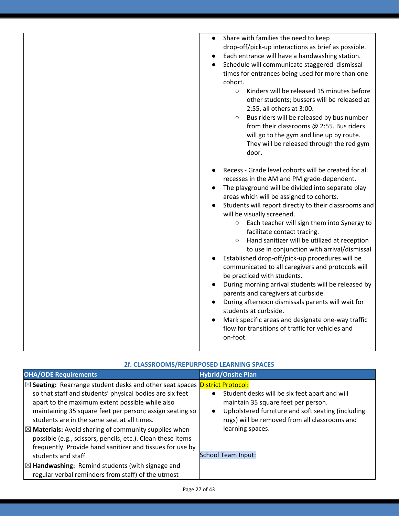| Share with families the need to keep<br>drop-off/pick-up interactions as brief as possible.<br>Each entrance will have a handwashing station.<br>Schedule will communicate staggered dismissal<br>times for entrances being used for more than one<br>cohort.<br>Kinders will be released 15 minutes before<br>$\circ$<br>other students; bussers will be released at<br>2:55, all others at 3:00.<br>Bus riders will be released by bus number<br>$\circ$<br>from their classrooms @ 2:55. Bus riders<br>will go to the gym and line up by route.<br>They will be released through the red gym<br>door.                                                                                                                                                                                                                                                                                                                               |
|----------------------------------------------------------------------------------------------------------------------------------------------------------------------------------------------------------------------------------------------------------------------------------------------------------------------------------------------------------------------------------------------------------------------------------------------------------------------------------------------------------------------------------------------------------------------------------------------------------------------------------------------------------------------------------------------------------------------------------------------------------------------------------------------------------------------------------------------------------------------------------------------------------------------------------------|
| Recess - Grade level cohorts will be created for all<br>recesses in the AM and PM grade-dependent.<br>The playground will be divided into separate play<br>areas which will be assigned to cohorts.<br>Students will report directly to their classrooms and<br>will be visually screened.<br>Each teacher will sign them into Synergy to<br>$\circ$<br>facilitate contact tracing.<br>Hand sanitizer will be utilized at reception<br>$\circ$<br>to use in conjunction with arrival/dismissal<br>Established drop-off/pick-up procedures will be<br>communicated to all caregivers and protocols will<br>be practiced with students.<br>During morning arrival students will be released by<br>parents and caregivers at curbside.<br>During afternoon dismissals parents will wait for<br>students at curbside.<br>Mark specific areas and designate one-way traffic<br>flow for transitions of traffic for vehicles and<br>on-foot. |

| <b>OHA/ODE Requirements</b>                                                                                                                                                                                                                                                                                                                                                                                                                                                                                           | <b>Hybrid/Onsite Plan</b>                                                                                                                                                                                                                |
|-----------------------------------------------------------------------------------------------------------------------------------------------------------------------------------------------------------------------------------------------------------------------------------------------------------------------------------------------------------------------------------------------------------------------------------------------------------------------------------------------------------------------|------------------------------------------------------------------------------------------------------------------------------------------------------------------------------------------------------------------------------------------|
| $\boxtimes$ Seating: Rearrange student desks and other seat spaces <b>District Protocol:</b><br>so that staff and students' physical bodies are six feet<br>apart to the maximum extent possible while also<br>maintaining 35 square feet per person; assign seating so<br>students are in the same seat at all times.<br>$\boxtimes$ Materials: Avoid sharing of community supplies when<br>possible (e.g., scissors, pencils, etc.). Clean these items<br>frequently. Provide hand sanitizer and tissues for use by | Student desks will be six feet apart and will<br>$\bullet$<br>maintain 35 square feet per person.<br>Upholstered furniture and soft seating (including<br>$\bullet$<br>rugs) will be removed from all classrooms and<br>learning spaces. |
| students and staff.                                                                                                                                                                                                                                                                                                                                                                                                                                                                                                   | <b>School Team Input:</b>                                                                                                                                                                                                                |
| $\boxtimes$ Handwashing: Remind students (with signage and<br>regular verbal reminders from staff) of the utmost                                                                                                                                                                                                                                                                                                                                                                                                      |                                                                                                                                                                                                                                          |

### **2f. CLASSROOMS/REPURPOSED LEARNING SPACES**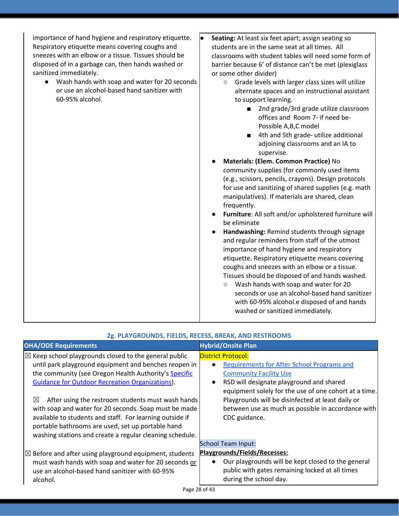| importance of hand hygiene and respiratory etiquette. |  |
|-------------------------------------------------------|--|
| Respiratory etiquette means covering coughs and       |  |
| sneezes with an elbow or a tissue. Tissues should be  |  |
| disposed of in a garbage can, then hands washed or    |  |
| sanitized immediately.                                |  |

- Wash hands with soap and water for 20 seconds or use an alcohol-based hand sanitizer with 60-95% alcohol.
- **Seating:** At least six feet apart; assign seating so students are in the same seat at all times. All classrooms with student tables will need some form of barrier because 6' of distance can't be met (plexiglass or some other divider)
	- Grade levels with larger class sizes will utilize alternate spaces and an instructional assistant to support learning.
		- 2nd grade/3rd grade utilize classroom offices and Room 7- if need be-Possible A,B,C model
		- 4th and 5th grade- utilize additional adjoining classrooms and an IA to supervise.
	- **Materials: (Elem. Common Practice)** No community supplies (for commonly used items (e.g., scissors, pencils, crayons). Design protocols for use and sanitizing of shared supplies (e.g. math manipulatives). If materials are shared, clean frequently.
	- **Furniture**: All soft and/or upholstered furniture will be eliminate
	- **Handwashing:** Remind students through signage and regular reminders from staff of the utmost importance of hand hygiene and respiratory etiquette. Respiratory etiquette means covering coughs and sneezes with an elbow or a tissue. Tissues should be disposed of and hands washed.
		- **○** Wash hands with soap and water for 20 seconds or use an alcohol-based hand sanitizer with 60-95% alcohol.e disposed of and hands washed or sanitized immediately.

| 2g. PLAYGROUNDS, FIELDS, RECESS, BREAK, AND RESTROOMS                                                                                                                                                                                                                                                                                                                                                                                                                                      |                                                                                                                                                                                                                                                                                                                                                               |  |
|--------------------------------------------------------------------------------------------------------------------------------------------------------------------------------------------------------------------------------------------------------------------------------------------------------------------------------------------------------------------------------------------------------------------------------------------------------------------------------------------|---------------------------------------------------------------------------------------------------------------------------------------------------------------------------------------------------------------------------------------------------------------------------------------------------------------------------------------------------------------|--|
| <b>OHA/ODE Requirements</b>                                                                                                                                                                                                                                                                                                                                                                                                                                                                | <b>Hybrid/Onsite Plan</b>                                                                                                                                                                                                                                                                                                                                     |  |
| $\boxtimes$ Keep school playgrounds closed to the general public<br>until park playground equipment and benches reopen in<br>the community (see Oregon Health Authority's Specific<br><b>Guidance for Outdoor Recreation Organizations).</b><br>After using the restroom students must wash hands<br>$\boxtimes$<br>with soap and water for 20 seconds. Soap must be made<br>available to students and staff. For learning outside if<br>portable bathrooms are used, set up portable hand | <b>District Protocol:</b><br><b>Requirements for After School Programs and</b><br><b>Community Facility Use</b><br>RSD will designate playground and shared<br>$\bullet$<br>equipment solely for the use of one cohort at a time.<br>Playgrounds will be disinfected at least daily or<br>between use as much as possible in accordance with<br>CDC guidance. |  |
| washing stations and create a regular cleaning schedule.                                                                                                                                                                                                                                                                                                                                                                                                                                   |                                                                                                                                                                                                                                                                                                                                                               |  |
|                                                                                                                                                                                                                                                                                                                                                                                                                                                                                            | <b>School Team Input:</b>                                                                                                                                                                                                                                                                                                                                     |  |
| $ \boxtimes$ Before and after using playground equipment, students                                                                                                                                                                                                                                                                                                                                                                                                                         | Playgrounds/Fields/Recesses:                                                                                                                                                                                                                                                                                                                                  |  |
| must wash hands with soap and water for 20 seconds or<br>use an alcohol-based hand sanitizer with 60-95%<br>alcohol.                                                                                                                                                                                                                                                                                                                                                                       | Our playgrounds will be kept closed to the general<br>public with gates remaining locked at all times<br>during the school day.                                                                                                                                                                                                                               |  |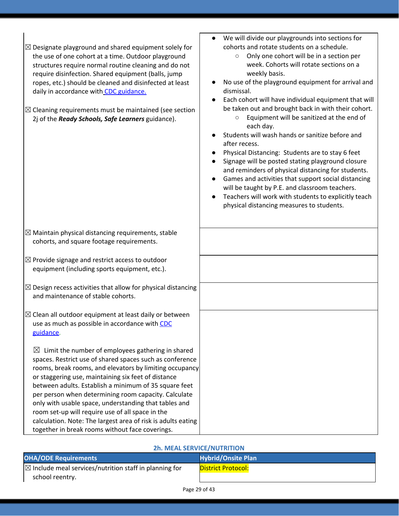| $\boxtimes$ Designate playground and shared equipment solely for<br>the use of one cohort at a time. Outdoor playground<br>structures require normal routine cleaning and do not<br>require disinfection. Shared equipment (balls, jump<br>ropes, etc.) should be cleaned and disinfected at least<br>daily in accordance with CDC guidance.<br>$\boxtimes$ Cleaning requirements must be maintained (see section<br>2j of the Ready Schools, Safe Learners guidance).                                                                                                                          | We will divide our playgrounds into sections for<br>$\bullet$<br>cohorts and rotate students on a schedule.<br>Only one cohort will be in a section per<br>$\circ$<br>week. Cohorts will rotate sections on a<br>weekly basis.<br>No use of the playground equipment for arrival and<br>dismissal.<br>Each cohort will have individual equipment that will<br>be taken out and brought back in with their cohort.<br>Equipment will be sanitized at the end of<br>$\circ$<br>each day.<br>Students will wash hands or sanitize before and<br>after recess.<br>Physical Distancing: Students are to stay 6 feet<br>Signage will be posted stating playground closure<br>and reminders of physical distancing for students.<br>Games and activities that support social distancing<br>$\bullet$<br>will be taught by P.E. and classroom teachers.<br>Teachers will work with students to explicitly teach<br>physical distancing measures to students. |
|-------------------------------------------------------------------------------------------------------------------------------------------------------------------------------------------------------------------------------------------------------------------------------------------------------------------------------------------------------------------------------------------------------------------------------------------------------------------------------------------------------------------------------------------------------------------------------------------------|------------------------------------------------------------------------------------------------------------------------------------------------------------------------------------------------------------------------------------------------------------------------------------------------------------------------------------------------------------------------------------------------------------------------------------------------------------------------------------------------------------------------------------------------------------------------------------------------------------------------------------------------------------------------------------------------------------------------------------------------------------------------------------------------------------------------------------------------------------------------------------------------------------------------------------------------------|
|                                                                                                                                                                                                                                                                                                                                                                                                                                                                                                                                                                                                 |                                                                                                                                                                                                                                                                                                                                                                                                                                                                                                                                                                                                                                                                                                                                                                                                                                                                                                                                                      |
| $\boxtimes$ Maintain physical distancing requirements, stable<br>cohorts, and square footage requirements.                                                                                                                                                                                                                                                                                                                                                                                                                                                                                      |                                                                                                                                                                                                                                                                                                                                                                                                                                                                                                                                                                                                                                                                                                                                                                                                                                                                                                                                                      |
| $\boxtimes$ Provide signage and restrict access to outdoor<br>equipment (including sports equipment, etc.).                                                                                                                                                                                                                                                                                                                                                                                                                                                                                     |                                                                                                                                                                                                                                                                                                                                                                                                                                                                                                                                                                                                                                                                                                                                                                                                                                                                                                                                                      |
| $\boxtimes$ Design recess activities that allow for physical distancing<br>and maintenance of stable cohorts.                                                                                                                                                                                                                                                                                                                                                                                                                                                                                   |                                                                                                                                                                                                                                                                                                                                                                                                                                                                                                                                                                                                                                                                                                                                                                                                                                                                                                                                                      |
| $\boxtimes$ Clean all outdoor equipment at least daily or between<br>use as much as possible in accordance with CDC<br>guidance.                                                                                                                                                                                                                                                                                                                                                                                                                                                                |                                                                                                                                                                                                                                                                                                                                                                                                                                                                                                                                                                                                                                                                                                                                                                                                                                                                                                                                                      |
| Limit the number of employees gathering in shared<br>$\boxtimes$<br>spaces. Restrict use of shared spaces such as conference<br>rooms, break rooms, and elevators by limiting occupancy<br>or staggering use, maintaining six feet of distance<br>between adults. Establish a minimum of 35 square feet<br>per person when determining room capacity. Calculate<br>only with usable space, understanding that tables and<br>room set-up will require use of all space in the<br>calculation. Note: The largest area of risk is adults eating<br>together in break rooms without face coverings. |                                                                                                                                                                                                                                                                                                                                                                                                                                                                                                                                                                                                                                                                                                                                                                                                                                                                                                                                                      |

### **2h. MEAL SERVICE/NUTRITION**

| ————————————————————————————                                      |                           |  |
|-------------------------------------------------------------------|---------------------------|--|
| <b>OHA/ODE Requirements</b>                                       | <b>Hybrid/Onsite Plan</b> |  |
| $\boxtimes$ Include meal services/nutrition staff in planning for | <b>District Protocol:</b> |  |
| school reentry.                                                   |                           |  |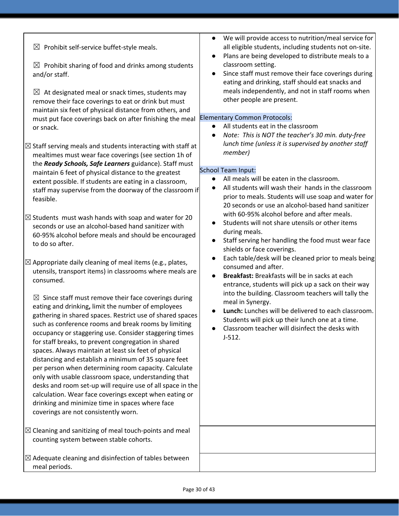| $\boxtimes$ Prohibit self-service buffet-style meals.<br>$\boxtimes$ Prohibit sharing of food and drinks among students<br>and/or staff.<br>At designated meal or snack times, students may<br>$\boxtimes$<br>remove their face coverings to eat or drink but must<br>maintain six feet of physical distance from others, and<br>must put face coverings back on after finishing the meal<br>or snack.<br>$\boxtimes$ Staff serving meals and students interacting with staff at<br>mealtimes must wear face coverings (see section 1h of<br>the Ready Schools, Safe Learners guidance). Staff must<br>maintain 6 feet of physical distance to the greatest<br>extent possible. If students are eating in a classroom,<br>staff may supervise from the doorway of the classroom if<br>feasible.<br>$\boxtimes$ Students must wash hands with soap and water for 20<br>seconds or use an alcohol-based hand sanitizer with<br>60-95% alcohol before meals and should be encouraged<br>to do so after.<br>$\boxtimes$ Appropriate daily cleaning of meal items (e.g., plates,<br>utensils, transport items) in classrooms where meals are<br>consumed.<br>$\boxtimes$ Since staff must remove their face coverings during<br>eating and drinking, limit the number of employees<br>gathering in shared spaces. Restrict use of shared spaces<br>such as conference rooms and break rooms by limiting<br>occupancy or staggering use. Consider staggering times<br>for staff breaks, to prevent congregation in shared<br>spaces. Always maintain at least six feet of physical<br>distancing and establish a minimum of 35 square feet<br>per person when determining room capacity. Calculate<br>only with usable classroom space, understanding that<br>desks and room set-up will require use of all space in the<br>calculation. Wear face coverings except when eating or<br>drinking and minimize time in spaces where face<br>coverings are not consistently worn.<br>$\boxtimes$ Cleaning and sanitizing of meal touch-points and meal | We will provide access to nutrition/meal service for<br>all eligible students, including students not on-site.<br>Plans are being developed to distribute meals to a<br>$\bullet$<br>classroom setting.<br>Since staff must remove their face coverings during<br>$\bullet$<br>eating and drinking, staff should eat snacks and<br>meals independently, and not in staff rooms when<br>other people are present.<br><b>Elementary Common Protocols:</b><br>All students eat in the classroom<br>$\bullet$<br>Note: This is NOT the teacher's 30 min. duty-free<br>$\bullet$<br>lunch time (unless it is supervised by another staff<br>member)<br><b>School Team Input:</b><br>All meals will be eaten in the classroom.<br>All students will wash their hands in the classroom<br>prior to meals. Students will use soap and water for<br>20 seconds or use an alcohol-based hand sanitizer<br>with 60-95% alcohol before and after meals.<br>Students will not share utensils or other items<br>during meals.<br>Staff serving her handling the food must wear face<br>$\bullet$<br>shields or face coverings.<br>Each table/desk will be cleaned prior to meals being<br>$\bullet$<br>consumed and after.<br>Breakfast: Breakfasts will be in sacks at each<br>$\bullet$<br>entrance, students will pick up a sack on their way<br>into the building. Classroom teachers will tally the<br>meal in Synergy.<br>Lunch: Lunches will be delivered to each classroom.<br>Students will pick up their lunch one at a time.<br>Classroom teacher will disinfect the desks with<br>$J-512.$ |
|----------------------------------------------------------------------------------------------------------------------------------------------------------------------------------------------------------------------------------------------------------------------------------------------------------------------------------------------------------------------------------------------------------------------------------------------------------------------------------------------------------------------------------------------------------------------------------------------------------------------------------------------------------------------------------------------------------------------------------------------------------------------------------------------------------------------------------------------------------------------------------------------------------------------------------------------------------------------------------------------------------------------------------------------------------------------------------------------------------------------------------------------------------------------------------------------------------------------------------------------------------------------------------------------------------------------------------------------------------------------------------------------------------------------------------------------------------------------------------------------------------------------------------------------------------------------------------------------------------------------------------------------------------------------------------------------------------------------------------------------------------------------------------------------------------------------------------------------------------------------------------------------------------------------------------------------------------------------------------------------------------------------------------------------|------------------------------------------------------------------------------------------------------------------------------------------------------------------------------------------------------------------------------------------------------------------------------------------------------------------------------------------------------------------------------------------------------------------------------------------------------------------------------------------------------------------------------------------------------------------------------------------------------------------------------------------------------------------------------------------------------------------------------------------------------------------------------------------------------------------------------------------------------------------------------------------------------------------------------------------------------------------------------------------------------------------------------------------------------------------------------------------------------------------------------------------------------------------------------------------------------------------------------------------------------------------------------------------------------------------------------------------------------------------------------------------------------------------------------------------------------------------------------------------------------------------------------------------------------------------------------------------|
| counting system between stable cohorts.<br>$\boxtimes$ Adequate cleaning and disinfection of tables between                                                                                                                                                                                                                                                                                                                                                                                                                                                                                                                                                                                                                                                                                                                                                                                                                                                                                                                                                                                                                                                                                                                                                                                                                                                                                                                                                                                                                                                                                                                                                                                                                                                                                                                                                                                                                                                                                                                                  |                                                                                                                                                                                                                                                                                                                                                                                                                                                                                                                                                                                                                                                                                                                                                                                                                                                                                                                                                                                                                                                                                                                                                                                                                                                                                                                                                                                                                                                                                                                                                                                          |
| meal periods.                                                                                                                                                                                                                                                                                                                                                                                                                                                                                                                                                                                                                                                                                                                                                                                                                                                                                                                                                                                                                                                                                                                                                                                                                                                                                                                                                                                                                                                                                                                                                                                                                                                                                                                                                                                                                                                                                                                                                                                                                                |                                                                                                                                                                                                                                                                                                                                                                                                                                                                                                                                                                                                                                                                                                                                                                                                                                                                                                                                                                                                                                                                                                                                                                                                                                                                                                                                                                                                                                                                                                                                                                                          |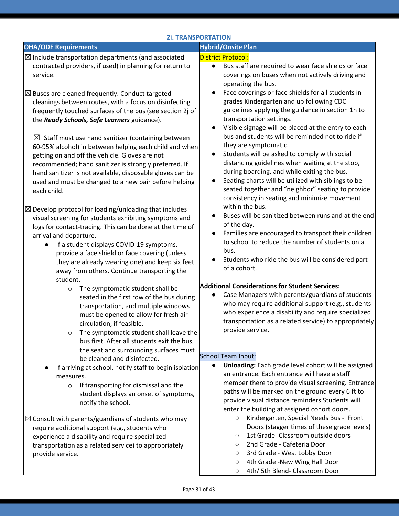| <b>2i. TRANSPORTATION</b>                                                                                                                                                                                                                                                                                                                                                                                                                                                                                                                                                                                   |                                                                                                                                                                                                                                                                                                                                                                                                                                                                                                                                                                                                                                                |  |
|-------------------------------------------------------------------------------------------------------------------------------------------------------------------------------------------------------------------------------------------------------------------------------------------------------------------------------------------------------------------------------------------------------------------------------------------------------------------------------------------------------------------------------------------------------------------------------------------------------------|------------------------------------------------------------------------------------------------------------------------------------------------------------------------------------------------------------------------------------------------------------------------------------------------------------------------------------------------------------------------------------------------------------------------------------------------------------------------------------------------------------------------------------------------------------------------------------------------------------------------------------------------|--|
| <b>OHA/ODE Requirements</b>                                                                                                                                                                                                                                                                                                                                                                                                                                                                                                                                                                                 | <b>Hybrid/Onsite Plan</b>                                                                                                                                                                                                                                                                                                                                                                                                                                                                                                                                                                                                                      |  |
| $\boxtimes$ Include transportation departments (and associated<br>contracted providers, if used) in planning for return to<br>service.                                                                                                                                                                                                                                                                                                                                                                                                                                                                      | <b>District Protocol:</b><br>Bus staff are required to wear face shields or face<br>$\bullet$<br>coverings on buses when not actively driving and<br>operating the bus.                                                                                                                                                                                                                                                                                                                                                                                                                                                                        |  |
| $\boxtimes$ Buses are cleaned frequently. Conduct targeted<br>cleanings between routes, with a focus on disinfecting<br>frequently touched surfaces of the bus (see section 2j of<br>the Ready Schools, Safe Learners guidance).<br>$\boxtimes$ Staff must use hand sanitizer (containing between<br>60-95% alcohol) in between helping each child and when<br>getting on and off the vehicle. Gloves are not<br>recommended; hand sanitizer is strongly preferred. If<br>hand sanitizer is not available, disposable gloves can be<br>used and must be changed to a new pair before helping<br>each child. | Face coverings or face shields for all students in<br>grades Kindergarten and up following CDC<br>guidelines applying the guidance in section 1h to<br>transportation settings.<br>Visible signage will be placed at the entry to each<br>bus and students will be reminded not to ride if<br>they are symptomatic.<br>Students will be asked to comply with social<br>distancing guidelines when waiting at the stop,<br>during boarding, and while exiting the bus.<br>Seating charts will be utilized with siblings to be<br>$\bullet$<br>seated together and "neighbor" seating to provide<br>consistency in seating and minimize movement |  |
| $\boxtimes$ Develop protocol for loading/unloading that includes<br>visual screening for students exhibiting symptoms and<br>logs for contact-tracing. This can be done at the time of<br>arrival and departure.<br>If a student displays COVID-19 symptoms,<br>$\bullet$<br>provide a face shield or face covering (unless<br>they are already wearing one) and keep six feet<br>away from others. Continue transporting the                                                                                                                                                                               | within the bus.<br>Buses will be sanitized between runs and at the end<br>of the day.<br>Families are encouraged to transport their children<br>to school to reduce the number of students on a<br>bus.<br>Students who ride the bus will be considered part<br>of a cohort.                                                                                                                                                                                                                                                                                                                                                                   |  |
| student.                                                                                                                                                                                                                                                                                                                                                                                                                                                                                                                                                                                                    |                                                                                                                                                                                                                                                                                                                                                                                                                                                                                                                                                                                                                                                |  |
| The symptomatic student shall be<br>$\circ$<br>seated in the first row of the bus during<br>transportation, and multiple windows<br>must be opened to allow for fresh air<br>circulation, if feasible.<br>The symptomatic student shall leave the<br>$\circ$<br>bus first. After all students exit the bus,<br>the seat and surrounding surfaces must                                                                                                                                                                                                                                                       | <b>Additional Considerations for Student Services:</b><br>Case Managers with parents/guardians of students<br>who may require additional support (e.g., students<br>who experience a disability and require specialized<br>transportation as a related service) to appropriately<br>provide service.                                                                                                                                                                                                                                                                                                                                           |  |
| be cleaned and disinfected.                                                                                                                                                                                                                                                                                                                                                                                                                                                                                                                                                                                 | <b>School Team Input:</b>                                                                                                                                                                                                                                                                                                                                                                                                                                                                                                                                                                                                                      |  |
| If arriving at school, notify staff to begin isolation<br>measures.<br>If transporting for dismissal and the<br>$\circ$<br>student displays an onset of symptoms,<br>notify the school.                                                                                                                                                                                                                                                                                                                                                                                                                     | Unloading: Each grade level cohort will be assigned<br>$\bullet$<br>an entrance. Each entrance will have a staff<br>member there to provide visual screening. Entrance<br>paths will be marked on the ground every 6 ft to<br>provide visual distance reminders. Students will<br>enter the building at assigned cohort doors.                                                                                                                                                                                                                                                                                                                 |  |
| $\boxtimes$ Consult with parents/guardians of students who may                                                                                                                                                                                                                                                                                                                                                                                                                                                                                                                                              | Kindergarten, Special Needs Bus - Front<br>$\circ$                                                                                                                                                                                                                                                                                                                                                                                                                                                                                                                                                                                             |  |
| require additional support (e.g., students who                                                                                                                                                                                                                                                                                                                                                                                                                                                                                                                                                              | Doors (stagger times of these grade levels)                                                                                                                                                                                                                                                                                                                                                                                                                                                                                                                                                                                                    |  |
| experience a disability and require specialized                                                                                                                                                                                                                                                                                                                                                                                                                                                                                                                                                             | 1st Grade- Classroom outside doors<br>$\circ$                                                                                                                                                                                                                                                                                                                                                                                                                                                                                                                                                                                                  |  |
| transportation as a related service) to appropriately<br>provide service.                                                                                                                                                                                                                                                                                                                                                                                                                                                                                                                                   | 2nd Grade - Cafeteria Door<br>$\circ$<br>3rd Grade - West Lobby Door<br>$\circ$                                                                                                                                                                                                                                                                                                                                                                                                                                                                                                                                                                |  |

- 3rd Grade West Lobby Door
- 4th Grade -New Wing Hall Door
- 4th/ 5th Blend- Classroom Door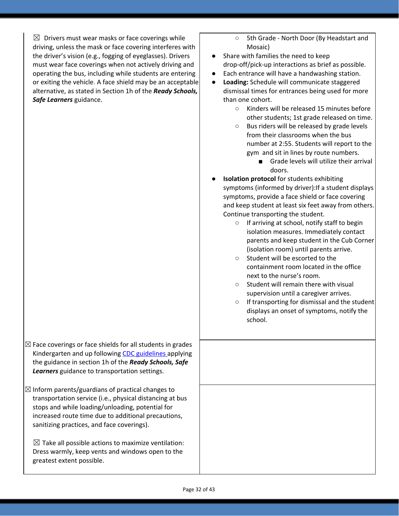$\boxtimes$  Drivers must wear masks or face coverings while driving, unless the mask or face covering interferes with the driver's vision (e.g., fogging of eyeglasses). Drivers must wear face coverings when not actively driving and operating the bus, including while students are entering or exiting the vehicle. A face shield may be an acceptable alternative, as stated in Section 1h of the *Ready Schools, Safe Learners* guidance.

 $\boxtimes$  Face coverings or face shields for all students in grades Kindergarten and up following CDC [guidelines](https://www.cdc.gov/coronavirus/2019-ncov/prevent-getting-sick/diy-cloth-face-coverings.html) applying the guidance in section 1h of the *Ready Schools, Safe Learners* guidance to transportation settings.

 $\boxtimes$  Inform parents/guardians of practical changes to transportation service (i.e., physical distancing at bus stops and while loading/unloading, potential for increased route time due to additional precautions, sanitizing practices, and face coverings).

 $\boxtimes$  Take all possible actions to maximize ventilation: Dress warmly, keep vents and windows open to the greatest extent possible.

- 5th Grade North Door (By Headstart and Mosaic)
- Share with families the need to keep drop-off/pick-up interactions as brief as possible.
- Each entrance will have a handwashing station.
- **Loading:** Schedule will communicate staggered dismissal times for entrances being used for more than one cohort.
	- Kinders will be released 15 minutes before other students; 1st grade released on time.
	- Bus riders will be released by grade levels from their classrooms when the bus number at 2:55. Students will report to the gym and sit in lines by route numbers.
		- Grade levels will utilize their arrival doors.
- **Isolation protocol** for students exhibiting symptoms (informed by driver):If a student displays symptoms, provide a face shield or face covering and keep student at least six feet away from others. Continue transporting the student.
	- If arriving at school, notify staff to begin isolation measures. Immediately contact parents and keep student in the Cub Corner (isolation room) until parents arrive.
	- Student will be escorted to the containment room located in the office next to the nurse's room.
	- Student will remain there with visual supervision until a caregiver arrives.
	- If transporting for dismissal and the student displays an onset of symptoms, notify the school.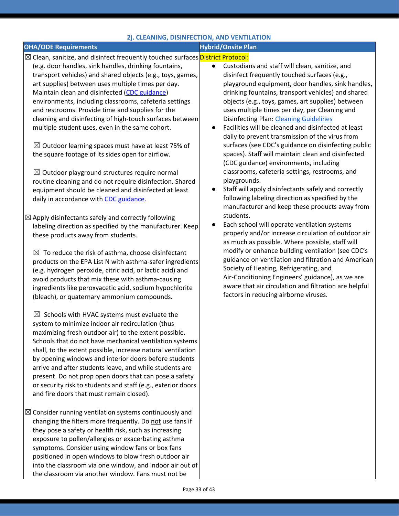### **2j. CLEANING, DISINFECTION, AND VENTILATION**

### **OHA/ODE** Requirements *Hybrid/Onsite* **Plan**

- ⊠ Clean, sanitize, and disinfect frequently touched surfaces <mark>District Protocol:</mark>
- (e.g. door handles, sink handles, drinking fountains, transport vehicles) and shared objects (e.g., toys, games, art supplies) between uses multiple times per day. Maintain clean and disinfected (CDC guidance) environments, including classrooms, cafeteria settings and restrooms. Provide time and supplies for the cleaning and disinfecting of high-touch surfaces between multiple student uses, even in the same cohort.

 $\boxtimes$  Outdoor learning spaces must have at least 75% of the square footage of its sides open for airflow.

 $\boxtimes$  Outdoor playground structures require normal routine cleaning and do not require disinfection. Shared equipment should be cleaned and disinfected at least daily in accordance wit[h](https://www.cdc.gov/coronavirus/2019-ncov/community/clean-disinfect/index.html) CDC [guidance.](https://www.cdc.gov/coronavirus/2019-ncov/community/clean-disinfect/index.html)

 $\boxtimes$  Apply disinfectants safely and correctly following labeling direction as specified by the manufacturer. Keep these products away from students.

 $\boxtimes$  To reduce the risk of asthma, choose disinfectant products on the EPA List N with asthma-safer ingredients (e.g. hydrogen peroxide, citric acid, or lactic acid) and avoid products that mix these with asthma-causing ingredients like peroxyacetic acid, sodium hypochlorite (bleach), or quaternary ammonium compounds.

 $\boxtimes$  Schools with HVAC systems must evaluate the system to minimize indoor air recirculation (thus maximizing fresh outdoor air) to the extent possible. Schools that do not have mechanical ventilation systems shall, to the extent possible, increase natural ventilation by opening windows and interior doors before students arrive and after students leave, and while students are present. Do not prop open doors that can pose a safety or security risk to students and staff (e.g., exterior doors and fire doors that must remain closed).

 $\boxtimes$  Consider running ventilation systems continuously and changing the filters more frequently. Do not use fans if they pose a safety or health risk, such as increasing exposure to pollen/allergies or exacerbating asthma symptoms. Consider using window fans or box fans positioned in open windows to blow fresh outdoor air into the classroom via one window, and indoor air out of the classroom via another window. Fans must not be

- Custodians and staff will clean, sanitize, and disinfect frequently touched surfaces (e.g., playground equipment, door handles, sink handles, drinking fountains, transport vehicles) and shared objects (e.g., toys, games, art supplies) between uses multiple times per day, per Cleaning and Disinfecting Plan: Cleaning [Guidelines](https://docs.google.com/document/d/1X-GDErMuIsuLcBAkmQ0Sc9jkF6hVXN8P5NF5PvzKqa8/edit?ts=5f1f1410)
- Facilities will be cleaned and disinfected at least daily to prevent transmission of the virus from surfaces (see CDC's guidance on disinfecting public spaces). Staff will maintain clean and disinfected (CDC guidance) environments, including classrooms, cafeteria settings, restrooms, and playgrounds.
- Staff will apply disinfectants safely and correctly following labeling direction as specified by the manufacturer and keep these products away from students.
- Each school will operate ventilation systems properly and/or increase circulation of outdoor air as much as possible. Where possible, staff will modify or enhance building ventilation (see CDC's guidance on ventilation and filtration and American Society of Heating, Refrigerating, and Air-Conditioning Engineers' guidance), as we are aware that air circulation and filtration are helpful factors in reducing airborne viruses.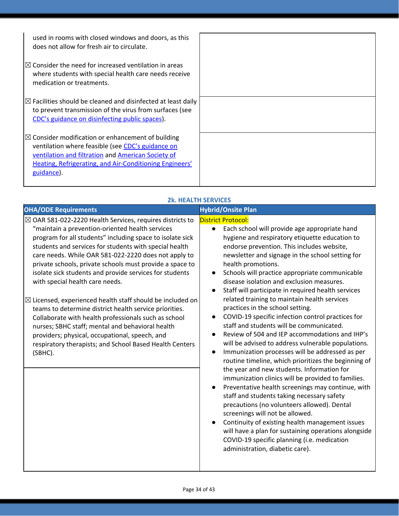| used in rooms with closed windows and doors, as this<br>does not allow for fresh air to circulate.                                                                                                                                                |  |
|---------------------------------------------------------------------------------------------------------------------------------------------------------------------------------------------------------------------------------------------------|--|
| $\mathbb R$ Consider the need for increased ventilation in areas<br>where students with special health care needs receive<br>medication or treatments.                                                                                            |  |
| $\boxtimes$ Facilities should be cleaned and disinfected at least daily<br>to prevent transmission of the virus from surfaces (see<br>CDC's guidance on disinfecting public spaces).                                                              |  |
| $\mathbb{Z}$ Consider modification or enhancement of building<br>ventilation where feasible (see CDC's guidance on<br>ventilation and filtration and American Society of<br>Heating, Refrigerating, and Air-Conditioning Engineers'<br>guidance). |  |

### **2k. HEALTH SERVICES**

| <b>OHA/ODE Requirements</b>                                                                                                                                                                                                                                                                                                                                                                                                                                                                                                                                                                                                                                                                                                                                                                                                           | <b>Hybrid/Onsite Plan</b>                                                                                                                                                                                                                                                                                                                                                                                                                                                                                                                                                                                                                                                                                                                                                                                                                                                                                                                                                                                                                                                                                                                                                                                                                                                                                                                                                             |
|---------------------------------------------------------------------------------------------------------------------------------------------------------------------------------------------------------------------------------------------------------------------------------------------------------------------------------------------------------------------------------------------------------------------------------------------------------------------------------------------------------------------------------------------------------------------------------------------------------------------------------------------------------------------------------------------------------------------------------------------------------------------------------------------------------------------------------------|---------------------------------------------------------------------------------------------------------------------------------------------------------------------------------------------------------------------------------------------------------------------------------------------------------------------------------------------------------------------------------------------------------------------------------------------------------------------------------------------------------------------------------------------------------------------------------------------------------------------------------------------------------------------------------------------------------------------------------------------------------------------------------------------------------------------------------------------------------------------------------------------------------------------------------------------------------------------------------------------------------------------------------------------------------------------------------------------------------------------------------------------------------------------------------------------------------------------------------------------------------------------------------------------------------------------------------------------------------------------------------------|
| $\boxtimes$ OAR 581-022-2220 Health Services, requires districts to<br>"maintain a prevention-oriented health services<br>program for all students" including space to isolate sick<br>students and services for students with special health<br>care needs. While OAR 581-022-2220 does not apply to<br>private schools, private schools must provide a space to<br>isolate sick students and provide services for students<br>with special health care needs.<br>$\boxtimes$ Licensed, experienced health staff should be included on<br>teams to determine district health service priorities.<br>Collaborate with health professionals such as school<br>nurses; SBHC staff; mental and behavioral health<br>providers; physical, occupational, speech, and<br>respiratory therapists; and School Based Health Centers<br>(SBHC). | <b>District Protocol:</b><br>Each school will provide age appropriate hand<br>$\bullet$<br>hygiene and respiratory etiquette education to<br>endorse prevention. This includes website,<br>newsletter and signage in the school setting for<br>health promotions.<br>Schools will practice appropriate communicable<br>$\bullet$<br>disease isolation and exclusion measures.<br>Staff will participate in required health services<br>$\bullet$<br>related training to maintain health services<br>practices in the school setting.<br>COVID-19 specific infection control practices for<br>$\bullet$<br>staff and students will be communicated.<br>Review of 504 and IEP accommodations and IHP's<br>$\bullet$<br>will be advised to address vulnerable populations.<br>Immunization processes will be addressed as per<br>$\bullet$<br>routine timeline, which prioritizes the beginning of<br>the year and new students. Information for<br>immunization clinics will be provided to families.<br>Preventative health screenings may continue, with<br>staff and students taking necessary safety<br>precautions (no volunteers allowed). Dental<br>screenings will not be allowed.<br>Continuity of existing health management issues<br>will have a plan for sustaining operations alongside<br>COVID-19 specific planning (i.e. medication<br>administration, diabetic care). |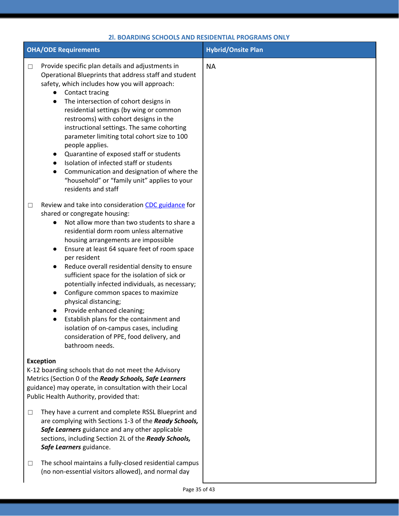| <b>OHA/ODE Requirements</b>                                                                                                                                                                                                                                                                                                                                                                                                                                                                                                                                                                                                                                                                                                                                             | <b>Hybrid/Onsite Plan</b> |
|-------------------------------------------------------------------------------------------------------------------------------------------------------------------------------------------------------------------------------------------------------------------------------------------------------------------------------------------------------------------------------------------------------------------------------------------------------------------------------------------------------------------------------------------------------------------------------------------------------------------------------------------------------------------------------------------------------------------------------------------------------------------------|---------------------------|
| Provide specific plan details and adjustments in<br>$\Box$<br>Operational Blueprints that address staff and student<br>safety, which includes how you will approach:<br>Contact tracing<br>$\bullet$<br>The intersection of cohort designs in<br>$\bullet$<br>residential settings (by wing or common<br>restrooms) with cohort designs in the<br>instructional settings. The same cohorting<br>parameter limiting total cohort size to 100<br>people applies.<br>Quarantine of exposed staff or students<br>$\bullet$<br>Isolation of infected staff or students<br>$\bullet$<br>Communication and designation of where the<br>$\bullet$<br>"household" or "family unit" applies to your<br>residents and staff                                                        | <b>NA</b>                 |
| Review and take into consideration CDC guidance for<br>$\Box$<br>shared or congregate housing:<br>Not allow more than two students to share a<br>residential dorm room unless alternative<br>housing arrangements are impossible<br>Ensure at least 64 square feet of room space<br>$\bullet$<br>per resident<br>Reduce overall residential density to ensure<br>$\bullet$<br>sufficient space for the isolation of sick or<br>potentially infected individuals, as necessary;<br>Configure common spaces to maximize<br>$\bullet$<br>physical distancing;<br>Provide enhanced cleaning;<br>$\bullet$<br>Establish plans for the containment and<br>$\bullet$<br>isolation of on-campus cases, including<br>consideration of PPE, food delivery, and<br>bathroom needs. |                           |
| <b>Exception</b><br>K-12 boarding schools that do not meet the Advisory<br>Metrics (Section 0 of the Ready Schools, Safe Learners<br>guidance) may operate, in consultation with their Local<br>Public Health Authority, provided that:                                                                                                                                                                                                                                                                                                                                                                                                                                                                                                                                 |                           |
| They have a current and complete RSSL Blueprint and<br>$\Box$<br>are complying with Sections 1-3 of the Ready Schools,<br>Safe Learners guidance and any other applicable<br>sections, including Section 2L of the Ready Schools,<br>Safe Learners guidance.                                                                                                                                                                                                                                                                                                                                                                                                                                                                                                            |                           |
| The school maintains a fully-closed residential campus<br>$\Box$<br>(no non-essential visitors allowed), and normal day                                                                                                                                                                                                                                                                                                                                                                                                                                                                                                                                                                                                                                                 |                           |

### **2l. BOARDING SCHOOLS AND RESIDENTIAL PROGRAMS ONLY**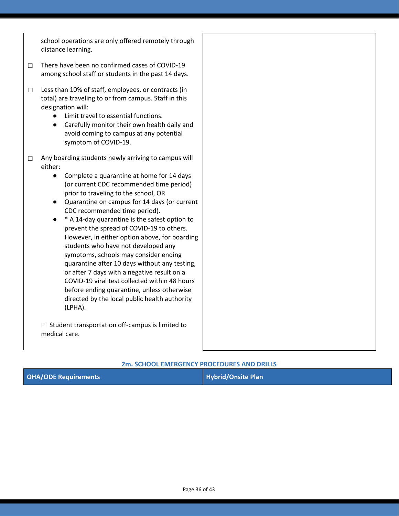school operations are only offered remotely through distance learning.

- ☐ There have been no confirmed cases of COVID-19 among school staff or students in the past 14 days.
- ☐ Less than 10% of staff, employees, or contracts (in total) are traveling to or from campus. Staff in this designation will:
	- Limit travel to essential functions.
	- Carefully monitor their own health daily and avoid coming to campus at any potential symptom of COVID-19.
- □ Any boarding students newly arriving to campus will either:
	- Complete a quarantine at home for 14 days (or current CDC recommended time period) prior to traveling to the school, OR
	- Quarantine on campus for 14 days (or current CDC recommended time period).
	- **\*** A 14-day quarantine is the safest option to prevent the spread of COVID-19 to others. However, in either option above, for boarding students who have not developed any symptoms, schools may consider ending quarantine after 10 days without any testing, or after 7 days with a negative result on a COVID-19 viral test collected within 48 hours before ending quarantine, unless otherwise directed by the local public health authority (LPHA).

 $\Box$  Student transportation off-campus is limited to medical care.

### **2m. SCHOOL EMERGENCY PROCEDURES AND DRILLS**

| <b>OHA/ODE Requirements</b> | Hybrid/Onsite Plan |
|-----------------------------|--------------------|
|-----------------------------|--------------------|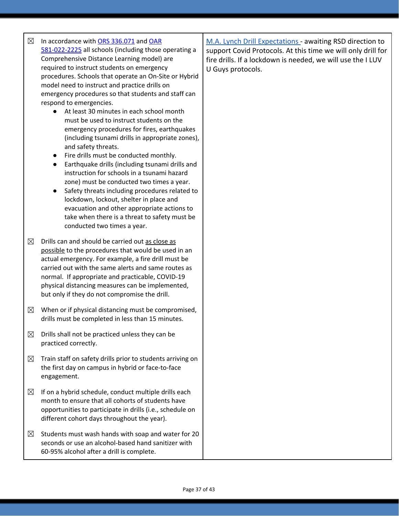| $\boxtimes$ | In accordance with ORS 336.071 and OAR<br>581-022-2225 all schools (including those operating a<br>Comprehensive Distance Learning model) are<br>required to instruct students on emergency<br>procedures. Schools that operate an On-Site or Hybrid<br>model need to instruct and practice drills on<br>emergency procedures so that students and staff can<br>respond to emergencies.<br>At least 30 minutes in each school month<br>$\bullet$<br>must be used to instruct students on the<br>emergency procedures for fires, earthquakes<br>(including tsunami drills in appropriate zones),<br>and safety threats.<br>Fire drills must be conducted monthly.<br>$\bullet$<br>Earthquake drills (including tsunami drills and<br>$\bullet$<br>instruction for schools in a tsunami hazard<br>zone) must be conducted two times a year.<br>Safety threats including procedures related to<br>$\bullet$<br>lockdown, lockout, shelter in place and<br>evacuation and other appropriate actions to<br>take when there is a threat to safety must be<br>conducted two times a year. | M.A. Lynch Drill Expectations - awaiting RSD direction to<br>support Covid Protocols. At this time we will only drill for<br>fire drills. If a lockdown is needed, we will use the I LUV<br>U Guys protocols. |
|-------------|------------------------------------------------------------------------------------------------------------------------------------------------------------------------------------------------------------------------------------------------------------------------------------------------------------------------------------------------------------------------------------------------------------------------------------------------------------------------------------------------------------------------------------------------------------------------------------------------------------------------------------------------------------------------------------------------------------------------------------------------------------------------------------------------------------------------------------------------------------------------------------------------------------------------------------------------------------------------------------------------------------------------------------------------------------------------------------|---------------------------------------------------------------------------------------------------------------------------------------------------------------------------------------------------------------|
| $\boxtimes$ | Drills can and should be carried out as close as<br>possible to the procedures that would be used in an<br>actual emergency. For example, a fire drill must be<br>carried out with the same alerts and same routes as<br>normal. If appropriate and practicable, COVID-19<br>physical distancing measures can be implemented,<br>but only if they do not compromise the drill.                                                                                                                                                                                                                                                                                                                                                                                                                                                                                                                                                                                                                                                                                                     |                                                                                                                                                                                                               |
| $\boxtimes$ | When or if physical distancing must be compromised,<br>drills must be completed in less than 15 minutes.                                                                                                                                                                                                                                                                                                                                                                                                                                                                                                                                                                                                                                                                                                                                                                                                                                                                                                                                                                           |                                                                                                                                                                                                               |
| $\boxtimes$ | Drills shall not be practiced unless they can be<br>practiced correctly.                                                                                                                                                                                                                                                                                                                                                                                                                                                                                                                                                                                                                                                                                                                                                                                                                                                                                                                                                                                                           |                                                                                                                                                                                                               |
| $\boxtimes$ | Train staff on safety drills prior to students arriving on<br>the first day on campus in hybrid or face-to-face<br>engagement.                                                                                                                                                                                                                                                                                                                                                                                                                                                                                                                                                                                                                                                                                                                                                                                                                                                                                                                                                     |                                                                                                                                                                                                               |
| $\boxtimes$ | If on a hybrid schedule, conduct multiple drills each<br>month to ensure that all cohorts of students have<br>opportunities to participate in drills (i.e., schedule on<br>different cohort days throughout the year).                                                                                                                                                                                                                                                                                                                                                                                                                                                                                                                                                                                                                                                                                                                                                                                                                                                             |                                                                                                                                                                                                               |
| $\boxtimes$ | Students must wash hands with soap and water for 20<br>seconds or use an alcohol-based hand sanitizer with<br>60-95% alcohol after a drill is complete.                                                                                                                                                                                                                                                                                                                                                                                                                                                                                                                                                                                                                                                                                                                                                                                                                                                                                                                            |                                                                                                                                                                                                               |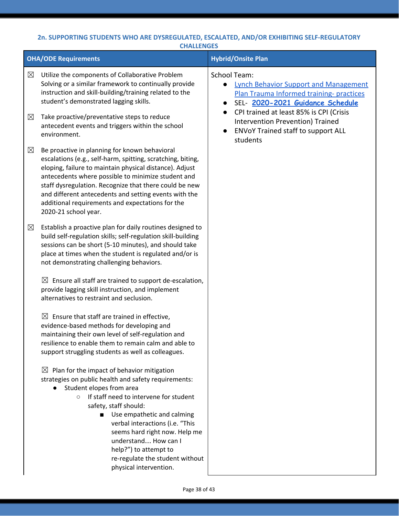### **2n. SUPPORTING STUDENTS WHO ARE DYSREGULATED, ESCALATED, AND/OR EXHIBITING SELF-REGULATORY CHALLENGES**

|             | <b>OHA/ODE Requirements</b>                                                                                                                                                                                                                                                                                                                                                                                                                 | <b>Hybrid/Onsite Plan</b>                                                                                                                                       |
|-------------|---------------------------------------------------------------------------------------------------------------------------------------------------------------------------------------------------------------------------------------------------------------------------------------------------------------------------------------------------------------------------------------------------------------------------------------------|-----------------------------------------------------------------------------------------------------------------------------------------------------------------|
| $\boxtimes$ | Utilize the components of Collaborative Problem<br>Solving or a similar framework to continually provide<br>instruction and skill-building/training related to the<br>student's demonstrated lagging skills.                                                                                                                                                                                                                                | <b>School Team:</b><br><b>Lynch Behavior Support and Management</b><br>$\bullet$<br>Plan Trauma Informed training-practices<br>SEL- 2020-2021 Guidance Schedule |
| $\boxtimes$ | Take proactive/preventative steps to reduce<br>antecedent events and triggers within the school<br>environment.                                                                                                                                                                                                                                                                                                                             | CPI trained at least 85% is CPI (Crisis<br>$\bullet$<br>Intervention Prevention) Trained<br>ENVoY Trained staff to support ALL<br>students                      |
| $\boxtimes$ | Be proactive in planning for known behavioral<br>escalations (e.g., self-harm, spitting, scratching, biting,<br>eloping, failure to maintain physical distance). Adjust<br>antecedents where possible to minimize student and<br>staff dysregulation. Recognize that there could be new<br>and different antecedents and setting events with the<br>additional requirements and expectations for the<br>2020-21 school year.                |                                                                                                                                                                 |
| $\boxtimes$ | Establish a proactive plan for daily routines designed to<br>build self-regulation skills; self-regulation skill-building<br>sessions can be short (5-10 minutes), and should take<br>place at times when the student is regulated and/or is<br>not demonstrating challenging behaviors.                                                                                                                                                    |                                                                                                                                                                 |
|             | Ensure all staff are trained to support de-escalation,<br>$\boxtimes$<br>provide lagging skill instruction, and implement<br>alternatives to restraint and seclusion.                                                                                                                                                                                                                                                                       |                                                                                                                                                                 |
|             | $\boxtimes$ Ensure that staff are trained in effective,<br>evidence-based methods for developing and<br>maintaining their own level of self-regulation and<br>resilience to enable them to remain calm and able to<br>support struggling students as well as colleagues.                                                                                                                                                                    |                                                                                                                                                                 |
|             | $\boxtimes$<br>Plan for the impact of behavior mitigation<br>strategies on public health and safety requirements:<br>Student elopes from area<br>If staff need to intervene for student<br>$\circ$<br>safety, staff should:<br>Use empathetic and calming<br>verbal interactions (i.e. "This<br>seems hard right now. Help me<br>understand How can I<br>help?") to attempt to<br>re-regulate the student without<br>physical intervention. |                                                                                                                                                                 |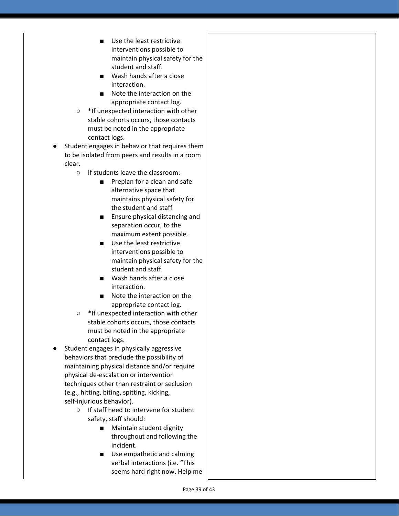- Use the least restrictive interventions possible to maintain physical safety for the student and staff.
- Wash hands after a close interaction.
- Note the interaction on the appropriate contact log.
- \*If unexpected interaction with other stable cohorts occurs, those contacts must be noted in the appropriate contact logs.
- Student engages in behavior that requires them to be isolated from peers and results in a room clear.
	- If students leave the classroom:
		- Preplan for a clean and safe alternative space that maintains physical safety for the student and staff
		- Ensure physical distancing and separation occur, to the maximum extent possible.
		- Use the least restrictive interventions possible to maintain physical safety for the student and staff.
		- Wash hands after a close interaction.
		- Note the interaction on the appropriate contact log.
	- \*If unexpected interaction with other stable cohorts occurs, those contacts must be noted in the appropriate contact logs.
- Student engages in physically aggressive behaviors that preclude the possibility of maintaining physical distance and/or require physical de-escalation or intervention techniques other than restraint or seclusion (e.g., hitting, biting, spitting, kicking, self-injurious behavior).
	- If staff need to intervene for student safety, staff should:
		- Maintain student dignity throughout and following the incident.
		- Use empathetic and calming verbal interactions (i.e. "This seems hard right now. Help me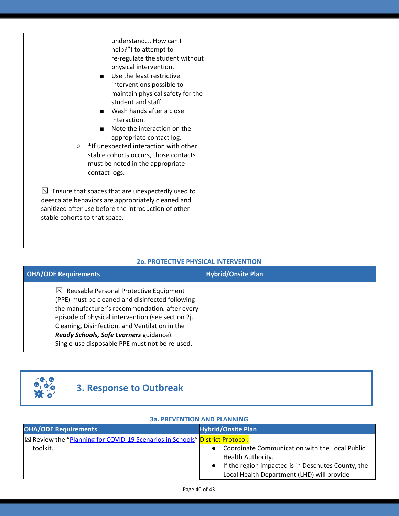understand… How can I help?") to attempt to re-regulate the student without physical intervention.

- Use the least restrictive interventions possible to maintain physical safety for the student and staff
- Wash hands after a close interaction.
- Note the interaction on the appropriate contact log.

○ \*If unexpected interaction with other stable cohorts occurs, those contacts must be noted in the appropriate contact logs.

 $\boxtimes$  Ensure that spaces that are unexpectedly used to deescalate behaviors are appropriately cleaned and sanitized after use before the introduction of other stable cohorts to that space.

### **2o. PROTECTIVE PHYSICAL INTERVENTION**

| <b>OHA/ODE Requirements</b>                                                                                                                                                                                                                                                                                                                                 | <b>Hybrid/Onsite Plan</b> |
|-------------------------------------------------------------------------------------------------------------------------------------------------------------------------------------------------------------------------------------------------------------------------------------------------------------------------------------------------------------|---------------------------|
| $\boxtimes$ Reusable Personal Protective Equipment<br>(PPE) must be cleaned and disinfected following<br>the manufacturer's recommendation, after every<br>episode of physical intervention (see section 2j.<br>Cleaning, Disinfection, and Ventilation in the<br>Ready Schools, Safe Learners guidance).<br>Single-use disposable PPE must not be re-used. |                           |



### **3. Response to Outbreak**

| <b>38. PREVENTION AND PLANNING</b>                                                     |                                                                                                  |  |  |  |
|----------------------------------------------------------------------------------------|--------------------------------------------------------------------------------------------------|--|--|--|
| <b>OHA/ODE Requirements</b>                                                            | <b>Hybrid/Onsite Plan</b>                                                                        |  |  |  |
| $\boxtimes$ Review the "Planning for COVID-19 Scenarios in Schools" District Protocol: |                                                                                                  |  |  |  |
| toolkit.                                                                               | Coordinate Communication with the Local Public<br>Health Authority.                              |  |  |  |
|                                                                                        | If the region impacted is in Deschutes County, the<br>Local Health Department (LHD) will provide |  |  |  |

### **3a. PREVENTION AND PLANNING**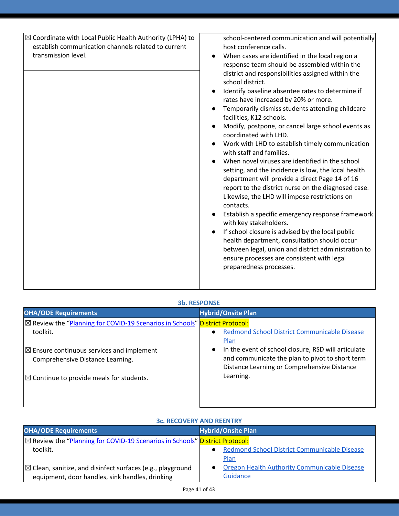| <b>3b. RESPONSE</b>                                                                                |                                                                                                                                                                    |  |  |  |
|----------------------------------------------------------------------------------------------------|--------------------------------------------------------------------------------------------------------------------------------------------------------------------|--|--|--|
| <b>OHA/ODE Requirements</b>                                                                        | <b>Hybrid/Onsite Plan</b>                                                                                                                                          |  |  |  |
| $\boxtimes$ Review the "Planning for COVID-19 Scenarios in Schools" District Protocol:<br>toolkit. | Redmond School District Communicable Disease<br>$\bullet$<br>Plan                                                                                                  |  |  |  |
| $\boxtimes$ Ensure continuous services and implement<br>Comprehensive Distance Learning.           | In the event of school closure, RSD will articulate<br>$\bullet$<br>and communicate the plan to pivot to short term<br>Distance Learning or Comprehensive Distance |  |  |  |
| $\boxtimes$ Continue to provide meals for students.                                                | Learning.                                                                                                                                                          |  |  |  |
|                                                                                                    |                                                                                                                                                                    |  |  |  |

| 36. RECOVERT AND REENTRI                                                                                                 |                                                                    |  |
|--------------------------------------------------------------------------------------------------------------------------|--------------------------------------------------------------------|--|
| <b>OHA/ODE Requirements</b>                                                                                              | <b>Hybrid/Onsite Plan</b>                                          |  |
| <b>⊠ Review the "Planning for COVID-19 Scenarios in Schools" District Protocol:</b>                                      |                                                                    |  |
| toolkit.                                                                                                                 | <b>Redmond School District Communicable Disease</b><br><b>Plan</b> |  |
| $\boxtimes$ Clean, sanitize, and disinfect surfaces (e.g., playground<br>equipment, door handles, sink handles, drinking | Oregon Health Authority Communicable Disease<br>Guidance           |  |

### **3c. RECOVERY AND REENTRY**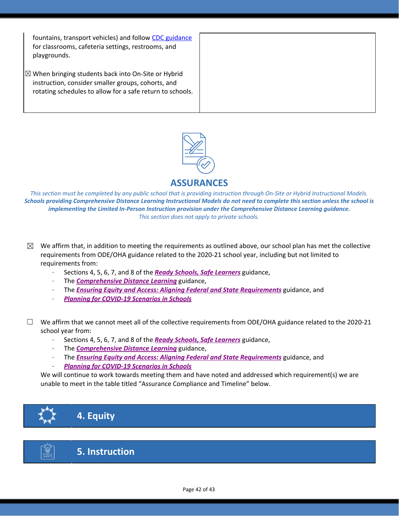fountains, transport vehicles) and follow CDC [guidance](https://www.cdc.gov/coronavirus/2019-ncov/community/clean-disinfect/index.html) for classrooms, cafeteria settings, restrooms, and playgrounds.

 $\boxtimes$  When bringing students back into On-Site or Hybrid instruction, consider smaller groups, cohorts, and rotating schedules to allow for a safe return to schools.



**ASSURANCES**

This section must be completed by any public school that is providing instruction through On-Site or Hybrid Instructional Models. Schools providing Comprehensive Distance Learning Instructional Models do not need to complete this section unless the school is *implementing the Limited In-Person Instruction provision under the Comprehensive Distance Learning guidance. This section does not apply to private schools.*

- $\boxtimes$  We affirm that, in addition to meeting the requirements as outlined above, our school plan has met the collective requirements from ODE/OHA guidance related to the 2020-21 school year, including but not limited to requirements from:
	- · Sections 4, 5, 6, 7, and 8 of the *[R](https://www.oregon.gov/ode/students-and-family/healthsafety/Documents/Ready%20Schools%20Safe%20Learners%202020-21%20Guidance.pdf)eady Schools, Safe [Learners](https://www.oregon.gov/ode/students-and-family/healthsafety/Documents/Ready%20Schools%20Safe%20Learners%202020-21%20Guidance.pdf)* guidance,
	- · The *[Comprehensive](https://www.oregon.gov/ode/educator-resources/standards/Pages/Comprehensive-Distance-Learning.aspx) Distance Learning* guidance,
	- · The *Ensuring Equity and Access: Aligning Federal and State [Requirements](https://www.oregon.gov/ode/students-and-family/healthsafety/Documents/Ensuring%20Equity%20and%20Access%20Aligning%20State%20and%20Federal%20Requirements.pdf)* guidance, and
	- · *Planning for [COVID-19](https://www.oregon.gov/ode/students-and-family/healthsafety/Documents/Planning%20and%20Responding%20to%20COVID-19%20Scenarios%20in%20Schools%20August%202020.pdf) Scenarios in Schools*
- $\Box$  We affirm that we cannot meet all of the collective requirements from ODE/OHA guidance related to the 2020-21 school year from:
	- · Sections 4, 5, 6, 7, and 8 of the *[R](https://www.oregon.gov/ode/students-and-family/healthsafety/Documents/Ready%20Schools%20Safe%20Learners%202020-21%20Guidance.pdf)eady Schools, Safe [Learners](https://www.oregon.gov/ode/students-and-family/healthsafety/Documents/Ready%20Schools%20Safe%20Learners%202020-21%20Guidance.pdf)* guidance,
	- · The *[Comprehensive](https://www.oregon.gov/ode/educator-resources/standards/Pages/Comprehensive-Distance-Learning.aspx) Distance Learning* guidance,
	- · The *Ensuring Equity and Access: Aligning Federal and State [Requirements](https://www.oregon.gov/ode/students-and-family/healthsafety/Documents/Ensuring%20Equity%20and%20Access%20Aligning%20State%20and%20Federal%20Requirements.pdf)* guidance, and · *Planning for [COVID-19](https://www.oregon.gov/ode/students-and-family/healthsafety/Documents/Planning%20and%20Responding%20to%20COVID-19%20Scenarios%20in%20Schools%20August%202020.pdf) Scenarios in Schools*

We will continue to work towards meeting them and have noted and addressed which requirement(s) we are unable to meet in the table titled "Assurance Compliance and Timeline" below.





**5. Instruction**